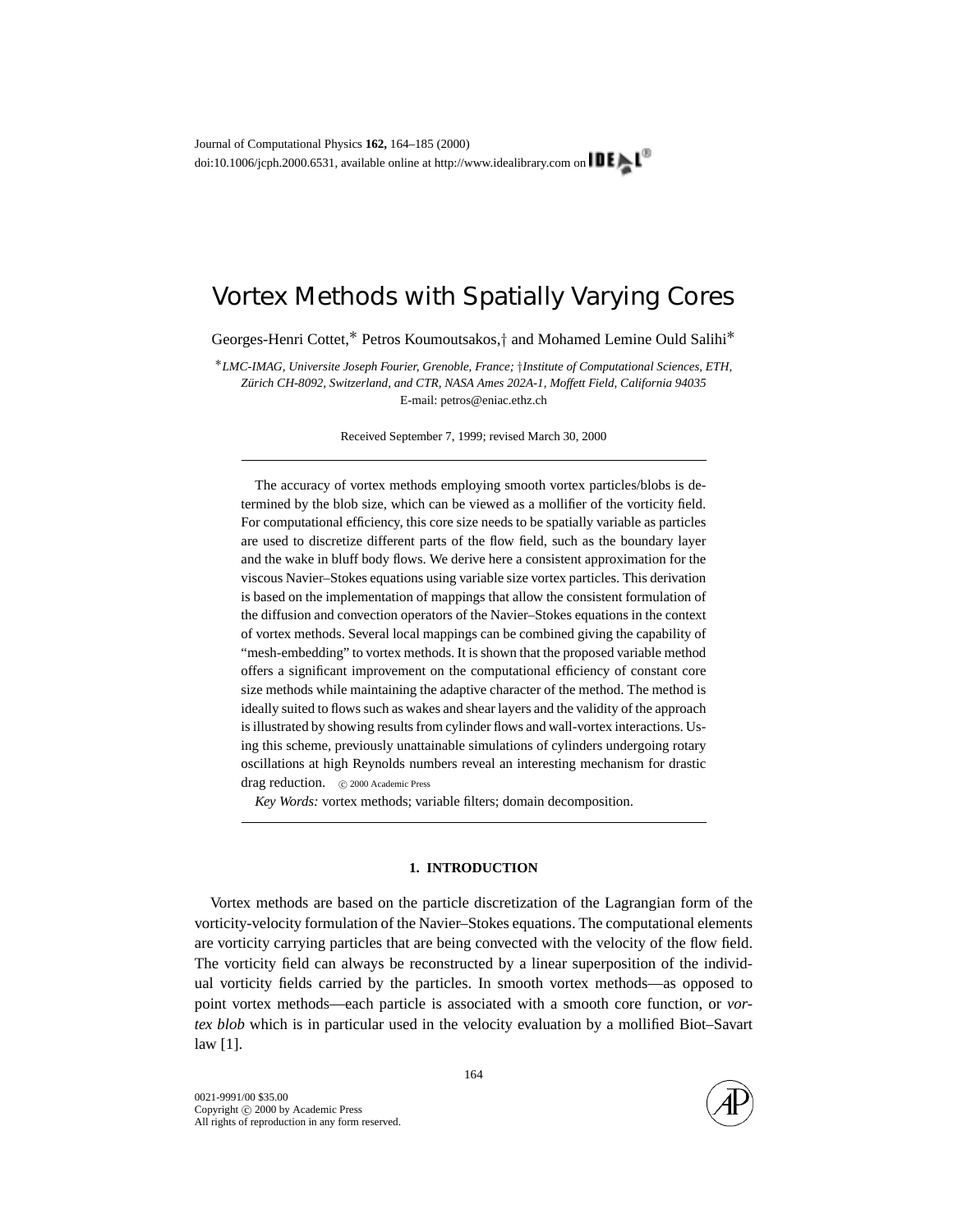# Vortex Methods with Spatially Varying Cores

Georges-Henri Cottet,\* Petros Koumoutsakos,† and Mohamed Lemine Ould Salihi<sup>\*</sup>

∗*LMC-IMAG, Universite Joseph Fourier, Grenoble, France;* †*Institute of Computational Sciences, ETH, Zurich CH-8092, Switzerland, and CTR, NASA Ames 202A-1, Moffett Field, California 94035 ¨* E-mail: petros@eniac.ethz.ch

Received September 7, 1999; revised March 30, 2000

The accuracy of vortex methods employing smooth vortex particles/blobs is determined by the blob size, which can be viewed as a mollifier of the vorticity field. For computational efficiency, this core size needs to be spatially variable as particles are used to discretize different parts of the flow field, such as the boundary layer and the wake in bluff body flows. We derive here a consistent approximation for the viscous Navier–Stokes equations using variable size vortex particles. This derivation is based on the implementation of mappings that allow the consistent formulation of the diffusion and convection operators of the Navier–Stokes equations in the context of vortex methods. Several local mappings can be combined giving the capability of "mesh-embedding" to vortex methods. It is shown that the proposed variable method offers a significant improvement on the computational efficiency of constant core size methods while maintaining the adaptive character of the method. The method is ideally suited to flows such as wakes and shear layers and the validity of the approach is illustrated by showing results from cylinder flows and wall-vortex interactions. Using this scheme, previously unattainable simulations of cylinders undergoing rotary oscillations at high Reynolds numbers reveal an interesting mechanism for drastic drag reduction.  $\circ$  2000 Academic Press

*Key Words:* vortex methods; variable filters; domain decomposition.

#### **1. INTRODUCTION**

Vortex methods are based on the particle discretization of the Lagrangian form of the vorticity-velocity formulation of the Navier–Stokes equations. The computational elements are vorticity carrying particles that are being convected with the velocity of the flow field. The vorticity field can always be reconstructed by a linear superposition of the individual vorticity fields carried by the particles. In smooth vortex methods—as opposed to point vortex methods—each particle is associated with a smooth core function, or *vortex blob* which is in particular used in the velocity evaluation by a mollified Biot–Savart law [1].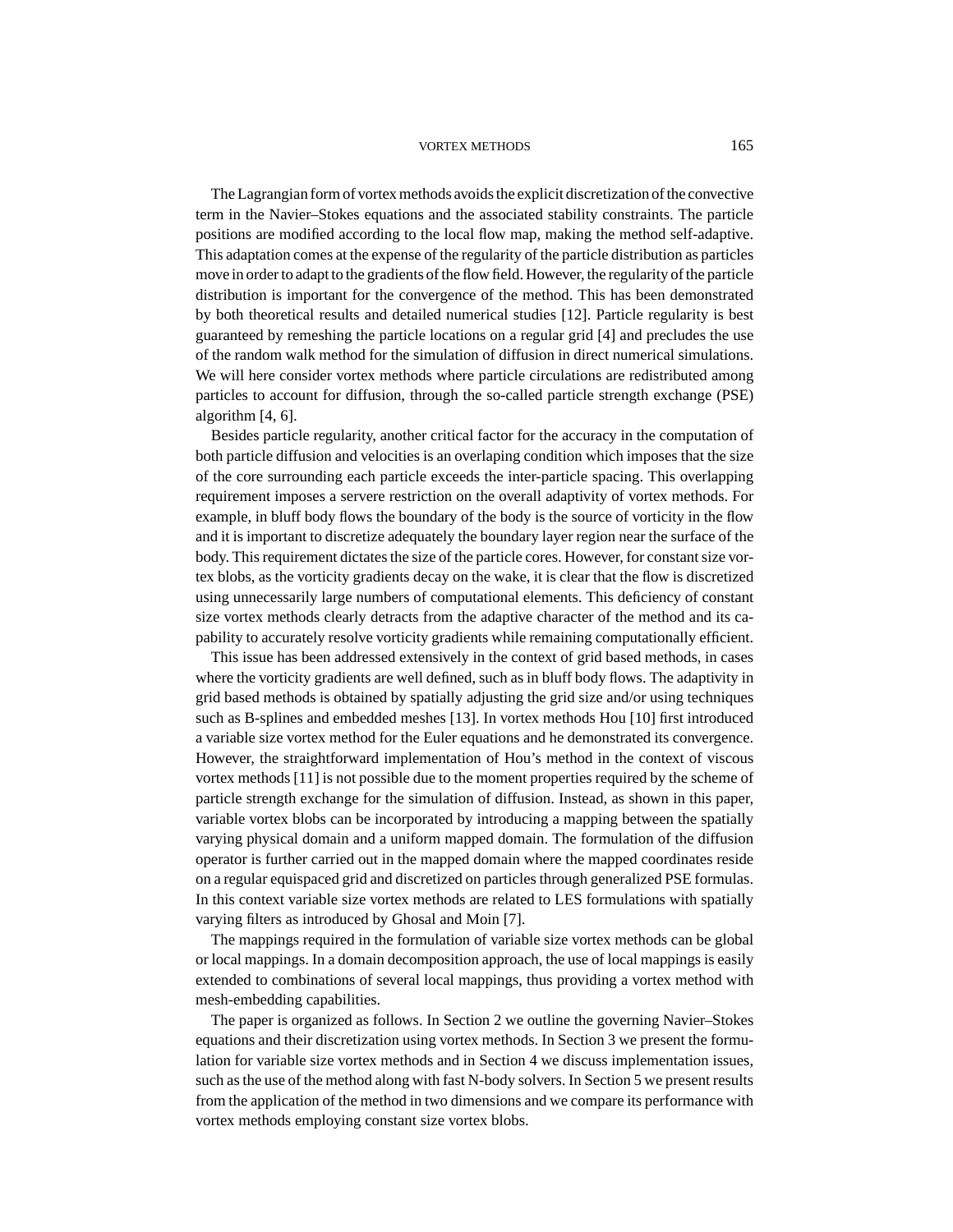The Lagrangian form of vortex methods avoids the explicit discretization of the convective term in the Navier–Stokes equations and the associated stability constraints. The particle positions are modified according to the local flow map, making the method self-adaptive. This adaptation comes at the expense of the regularity of the particle distribution as particles move in order to adapt to the gradients of the flow field. However, the regularity of the particle distribution is important for the convergence of the method. This has been demonstrated by both theoretical results and detailed numerical studies [12]. Particle regularity is best guaranteed by remeshing the particle locations on a regular grid [4] and precludes the use of the random walk method for the simulation of diffusion in direct numerical simulations. We will here consider vortex methods where particle circulations are redistributed among particles to account for diffusion, through the so-called particle strength exchange (PSE) algorithm [4, 6].

Besides particle regularity, another critical factor for the accuracy in the computation of both particle diffusion and velocities is an overlaping condition which imposes that the size of the core surrounding each particle exceeds the inter-particle spacing. This overlapping requirement imposes a servere restriction on the overall adaptivity of vortex methods. For example, in bluff body flows the boundary of the body is the source of vorticity in the flow and it is important to discretize adequately the boundary layer region near the surface of the body. This requirement dictates the size of the particle cores. However, for constant size vortex blobs, as the vorticity gradients decay on the wake, it is clear that the flow is discretized using unnecessarily large numbers of computational elements. This deficiency of constant size vortex methods clearly detracts from the adaptive character of the method and its capability to accurately resolve vorticity gradients while remaining computationally efficient.

This issue has been addressed extensively in the context of grid based methods, in cases where the vorticity gradients are well defined, such as in bluff body flows. The adaptivity in grid based methods is obtained by spatially adjusting the grid size and/or using techniques such as B-splines and embedded meshes [13]. In vortex methods Hou [10] first introduced a variable size vortex method for the Euler equations and he demonstrated its convergence. However, the straightforward implementation of Hou's method in the context of viscous vortex methods [11] is not possible due to the moment properties required by the scheme of particle strength exchange for the simulation of diffusion. Instead, as shown in this paper, variable vortex blobs can be incorporated by introducing a mapping between the spatially varying physical domain and a uniform mapped domain. The formulation of the diffusion operator is further carried out in the mapped domain where the mapped coordinates reside on a regular equispaced grid and discretized on particles through generalized PSE formulas. In this context variable size vortex methods are related to LES formulations with spatially varying filters as introduced by Ghosal and Moin [7].

The mappings required in the formulation of variable size vortex methods can be global or local mappings. In a domain decomposition approach, the use of local mappings is easily extended to combinations of several local mappings, thus providing a vortex method with mesh-embedding capabilities.

The paper is organized as follows. In Section 2 we outline the governing Navier–Stokes equations and their discretization using vortex methods. In Section 3 we present the formulation for variable size vortex methods and in Section 4 we discuss implementation issues, such as the use of the method along with fast N-body solvers. In Section 5 we present results from the application of the method in two dimensions and we compare its performance with vortex methods employing constant size vortex blobs.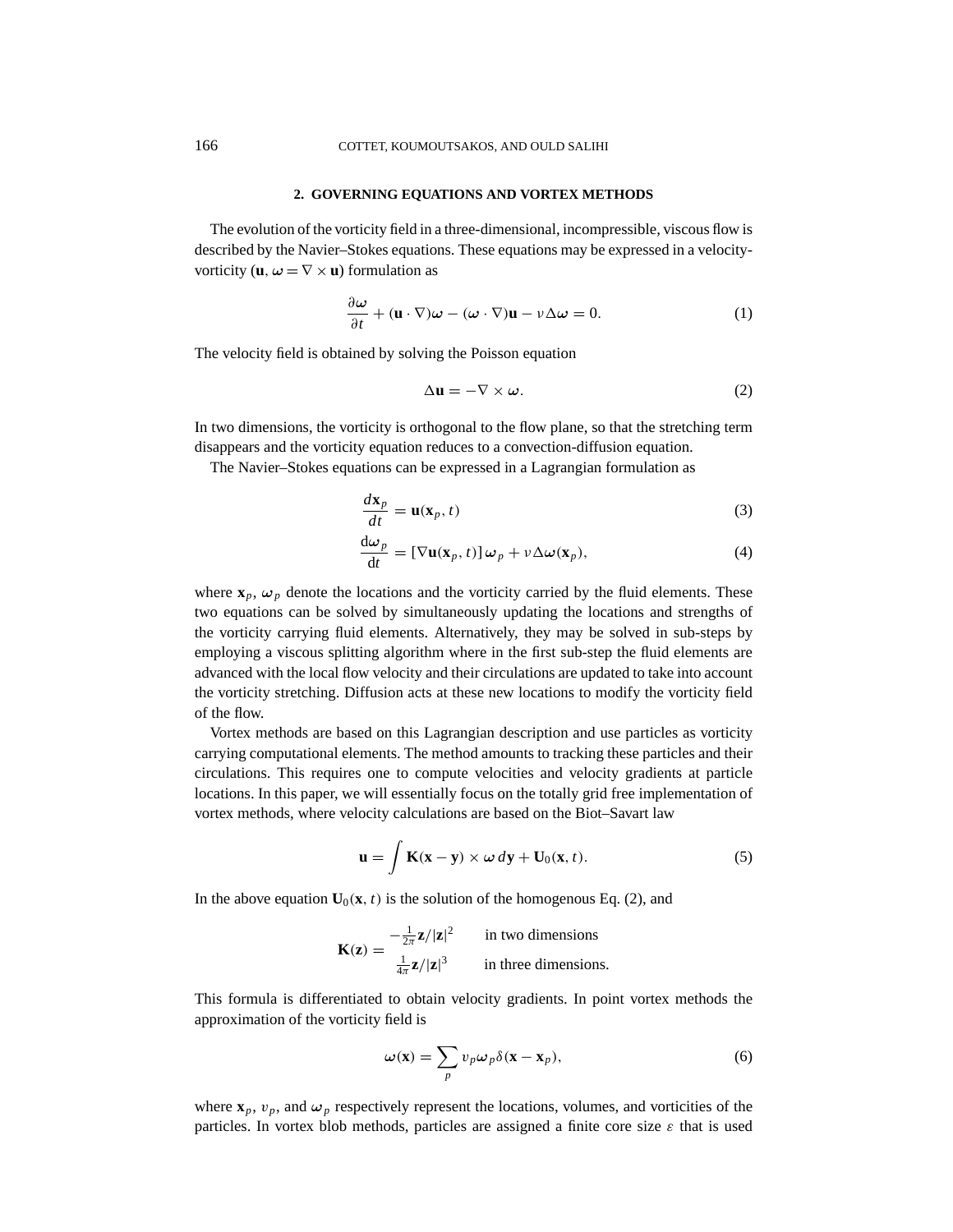#### **2. GOVERNING EQUATIONS AND VORTEX METHODS**

The evolution of the vorticity field in a three-dimensional, incompressible, viscous flow is described by the Navier–Stokes equations. These equations may be expressed in a velocityvorticity (**u**,  $\boldsymbol{\omega} = \nabla \times \mathbf{u}$ ) formulation as

$$
\frac{\partial \omega}{\partial t} + (\mathbf{u} \cdot \nabla)\omega - (\omega \cdot \nabla)\mathbf{u} - \nu \Delta \omega = 0.
$$
 (1)

The velocity field is obtained by solving the Poisson equation

$$
\Delta \mathbf{u} = -\nabla \times \boldsymbol{\omega}.\tag{2}
$$

In two dimensions, the vorticity is orthogonal to the flow plane, so that the stretching term disappears and the vorticity equation reduces to a convection-diffusion equation.

The Navier–Stokes equations can be expressed in a Lagrangian formulation as

$$
\frac{d\mathbf{x}_p}{dt} = \mathbf{u}(\mathbf{x}_p, t) \tag{3}
$$

$$
\frac{d\omega_p}{dt} = [\nabla \mathbf{u}(\mathbf{x}_p, t)] \omega_p + v \Delta \omega(\mathbf{x}_p),
$$
\n(4)

where  $\mathbf{x}_p$ ,  $\omega_p$  denote the locations and the vorticity carried by the fluid elements. These two equations can be solved by simultaneously updating the locations and strengths of the vorticity carrying fluid elements. Alternatively, they may be solved in sub-steps by employing a viscous splitting algorithm where in the first sub-step the fluid elements are advanced with the local flow velocity and their circulations are updated to take into account the vorticity stretching. Diffusion acts at these new locations to modify the vorticity field of the flow.

Vortex methods are based on this Lagrangian description and use particles as vorticity carrying computational elements. The method amounts to tracking these particles and their circulations. This requires one to compute velocities and velocity gradients at particle locations. In this paper, we will essentially focus on the totally grid free implementation of vortex methods, where velocity calculations are based on the Biot–Savart law

$$
\mathbf{u} = \int \mathbf{K}(\mathbf{x} - \mathbf{y}) \times \boldsymbol{\omega} \, d\mathbf{y} + \mathbf{U}_0(\mathbf{x}, t). \tag{5}
$$

In the above equation  $U_0(x, t)$  is the solution of the homogenous Eq. (2), and

$$
\mathbf{K}(\mathbf{z}) = \frac{-\frac{1}{2\pi}\mathbf{z}/|\mathbf{z}|^2}{\frac{1}{4\pi}\mathbf{z}/|\mathbf{z}|^3}
$$
 in two dimensions.  
in three dimensions.

This formula is differentiated to obtain velocity gradients. In point vortex methods the approximation of the vorticity field is

$$
\omega(\mathbf{x}) = \sum_{p} v_p \omega_p \delta(\mathbf{x} - \mathbf{x}_p),
$$
\n(6)

where  $\mathbf{x}_p$ ,  $v_p$ , and  $\omega_p$  respectively represent the locations, volumes, and vorticities of the particles. In vortex blob methods, particles are assigned a finite core size  $\varepsilon$  that is used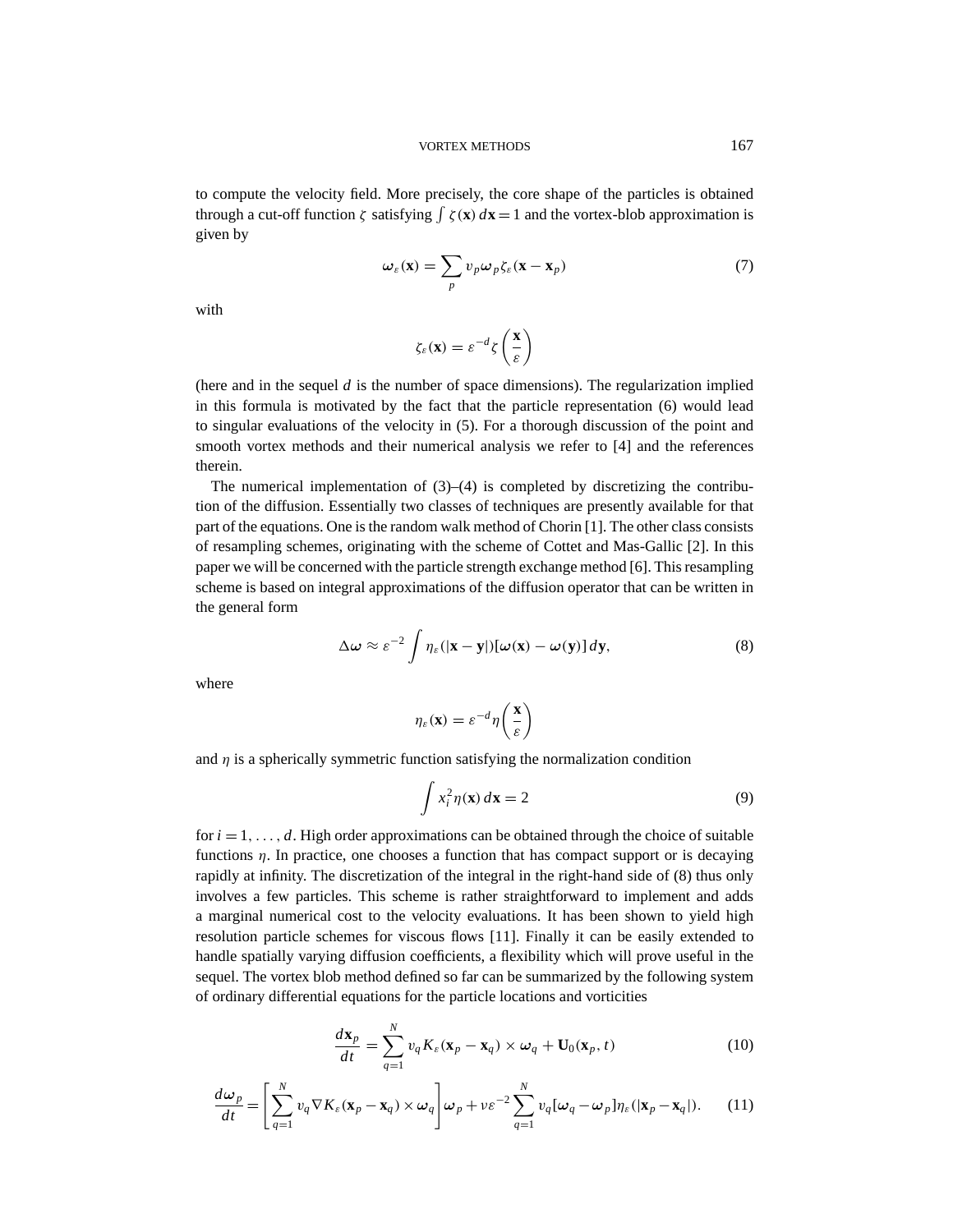to compute the velocity field. More precisely, the core shape of the particles is obtained through a cut-off function  $\zeta$  satisfying  $\int \zeta(\mathbf{x}) d\mathbf{x} = 1$  and the vortex-blob approximation is given by

$$
\omega_{\varepsilon}(\mathbf{x}) = \sum_{p} v_{p} \omega_{p} \zeta_{\varepsilon}(\mathbf{x} - \mathbf{x}_{p})
$$
\n(7)

with

$$
\zeta_{\varepsilon}(\mathbf{x}) = \varepsilon^{-d} \zeta\left(\frac{\mathbf{x}}{\varepsilon}\right)
$$

(here and in the sequel  $d$  is the number of space dimensions). The regularization implied in this formula is motivated by the fact that the particle representation (6) would lead to singular evaluations of the velocity in (5). For a thorough discussion of the point and smooth vortex methods and their numerical analysis we refer to [4] and the references therein.

The numerical implementation of  $(3)$ – $(4)$  is completed by discretizing the contribution of the diffusion. Essentially two classes of techniques are presently available for that part of the equations. One is the random walk method of Chorin [1]. The other class consists of resampling schemes, originating with the scheme of Cottet and Mas-Gallic [2]. In this paper we will be concerned with the particle strength exchange method [6]. This resampling scheme is based on integral approximations of the diffusion operator that can be written in the general form

$$
\Delta \boldsymbol{\omega} \approx \varepsilon^{-2} \int \eta_{\varepsilon} (|\mathbf{x} - \mathbf{y}|) [\boldsymbol{\omega}(\mathbf{x}) - \boldsymbol{\omega}(\mathbf{y})] d\mathbf{y}, \tag{8}
$$

where

$$
\eta_{\varepsilon}(\mathbf{x}) = \varepsilon^{-d} \eta\left(\frac{\mathbf{x}}{\varepsilon}\right)
$$

and  $\eta$  is a spherically symmetric function satisfying the normalization condition

$$
\int x_i^2 \eta(\mathbf{x}) \, d\mathbf{x} = 2 \tag{9}
$$

for  $i = 1, \ldots, d$ . High order approximations can be obtained through the choice of suitable functions  $\eta$ . In practice, one chooses a function that has compact support or is decaying rapidly at infinity. The discretization of the integral in the right-hand side of (8) thus only involves a few particles. This scheme is rather straightforward to implement and adds a marginal numerical cost to the velocity evaluations. It has been shown to yield high resolution particle schemes for viscous flows [11]. Finally it can be easily extended to handle spatially varying diffusion coefficients, a flexibility which will prove useful in the sequel. The vortex blob method defined so far can be summarized by the following system of ordinary differential equations for the particle locations and vorticities

$$
\frac{d\mathbf{x}_p}{dt} = \sum_{q=1}^{N} v_q K_{\varepsilon}(\mathbf{x}_p - \mathbf{x}_q) \times \boldsymbol{\omega}_q + \mathbf{U}_0(\mathbf{x}_p, t)
$$
(10)

$$
\frac{d\omega_p}{dt} = \left[\sum_{q=1}^N v_q \nabla K_{\varepsilon}(\mathbf{x}_p - \mathbf{x}_q) \times \omega_q\right] \omega_p + v \varepsilon^{-2} \sum_{q=1}^N v_q [\omega_q - \omega_p] \eta_{\varepsilon}(|\mathbf{x}_p - \mathbf{x}_q|). \tag{11}
$$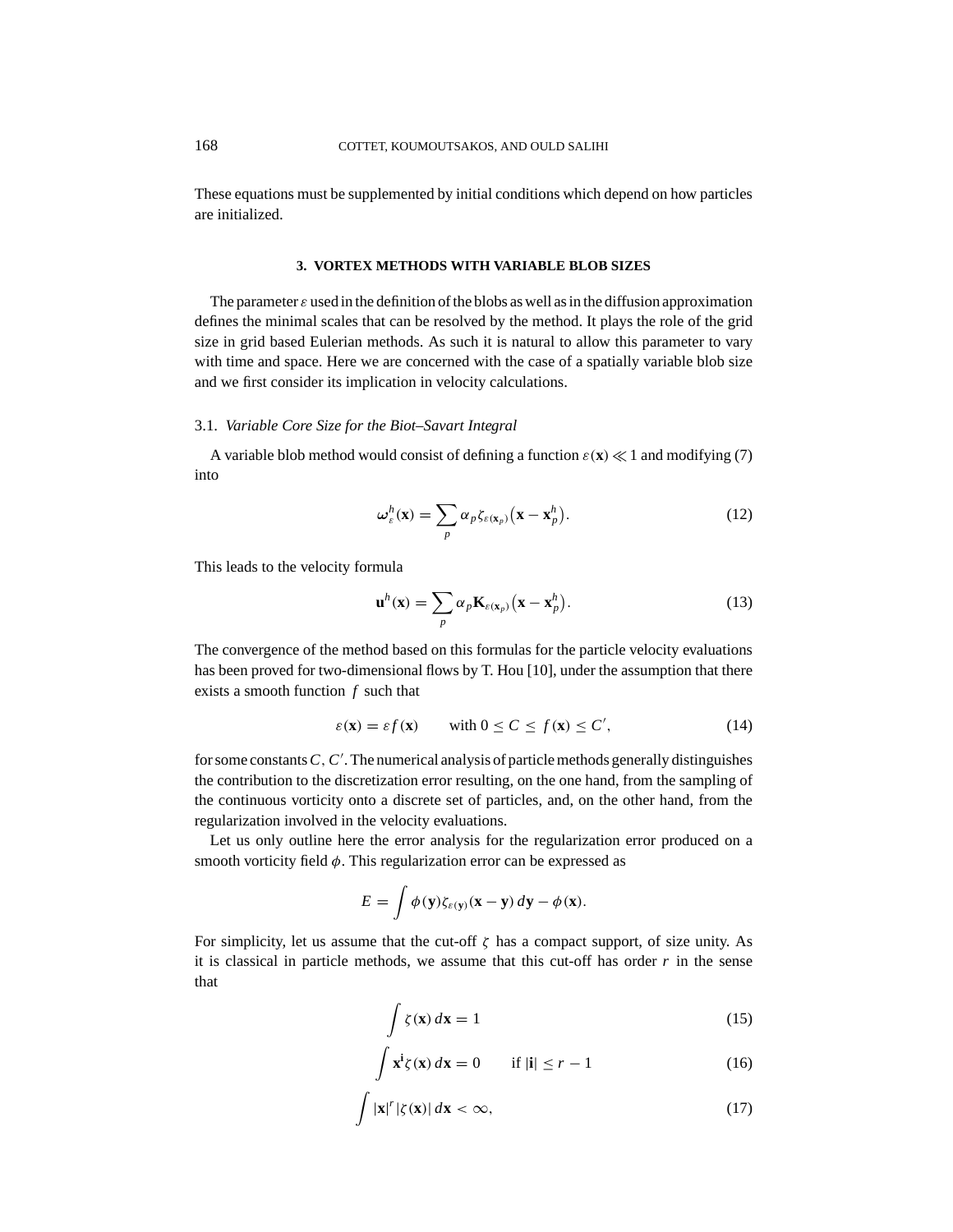These equations must be supplemented by initial conditions which depend on how particles are initialized.

## **3. VORTEX METHODS WITH VARIABLE BLOB SIZES**

The parameter  $\varepsilon$  used in the definition of the blobs as well as in the diffusion approximation defines the minimal scales that can be resolved by the method. It plays the role of the grid size in grid based Eulerian methods. As such it is natural to allow this parameter to vary with time and space. Here we are concerned with the case of a spatially variable blob size and we first consider its implication in velocity calculations.

# 3.1. *Variable Core Size for the Biot–Savart Integral*

A variable blob method would consist of defining a function  $\varepsilon(\mathbf{x}) \ll 1$  and modifying (7) into

$$
\omega_{\varepsilon}^{h}(\mathbf{x}) = \sum_{p} \alpha_{p} \zeta_{\varepsilon(\mathbf{x}_{p})}(\mathbf{x} - \mathbf{x}_{p}^{h}).
$$
\n(12)

This leads to the velocity formula

$$
\mathbf{u}^{h}(\mathbf{x}) = \sum_{p} \alpha_{p} \mathbf{K}_{\varepsilon(\mathbf{x}_{p})} (\mathbf{x} - \mathbf{x}_{p}^{h}).
$$
 (13)

The convergence of the method based on this formulas for the particle velocity evaluations has been proved for two-dimensional flows by T. Hou [10], under the assumption that there exists a smooth function *f* such that

$$
\varepsilon(\mathbf{x}) = \varepsilon f(\mathbf{x}) \qquad \text{with } 0 \le C \le f(\mathbf{x}) \le C', \tag{14}
$$

for some constants C, C'. The numerical analysis of particle methods generally distinguishes the contribution to the discretization error resulting, on the one hand, from the sampling of the continuous vorticity onto a discrete set of particles, and, on the other hand, from the regularization involved in the velocity evaluations.

Let us only outline here the error analysis for the regularization error produced on a smooth vorticity field  $\phi$ . This regularization error can be expressed as

$$
E = \int \phi(\mathbf{y}) \zeta_{\varepsilon(\mathbf{y})}(\mathbf{x} - \mathbf{y}) \, d\mathbf{y} - \phi(\mathbf{x}).
$$

For simplicity, let us assume that the cut-off  $\zeta$  has a compact support, of size unity. As it is classical in particle methods, we assume that this cut-off has order  $r$  in the sense that

$$
\int \zeta(\mathbf{x}) \, d\mathbf{x} = 1 \tag{15}
$$

$$
\int \mathbf{x}^{\mathbf{i}} \zeta(\mathbf{x}) \, d\mathbf{x} = 0 \qquad \text{if } |\mathbf{i}| \le r - 1 \tag{16}
$$

$$
\int |\mathbf{x}|^r |\zeta(\mathbf{x})| \, d\mathbf{x} < \infty,\tag{17}
$$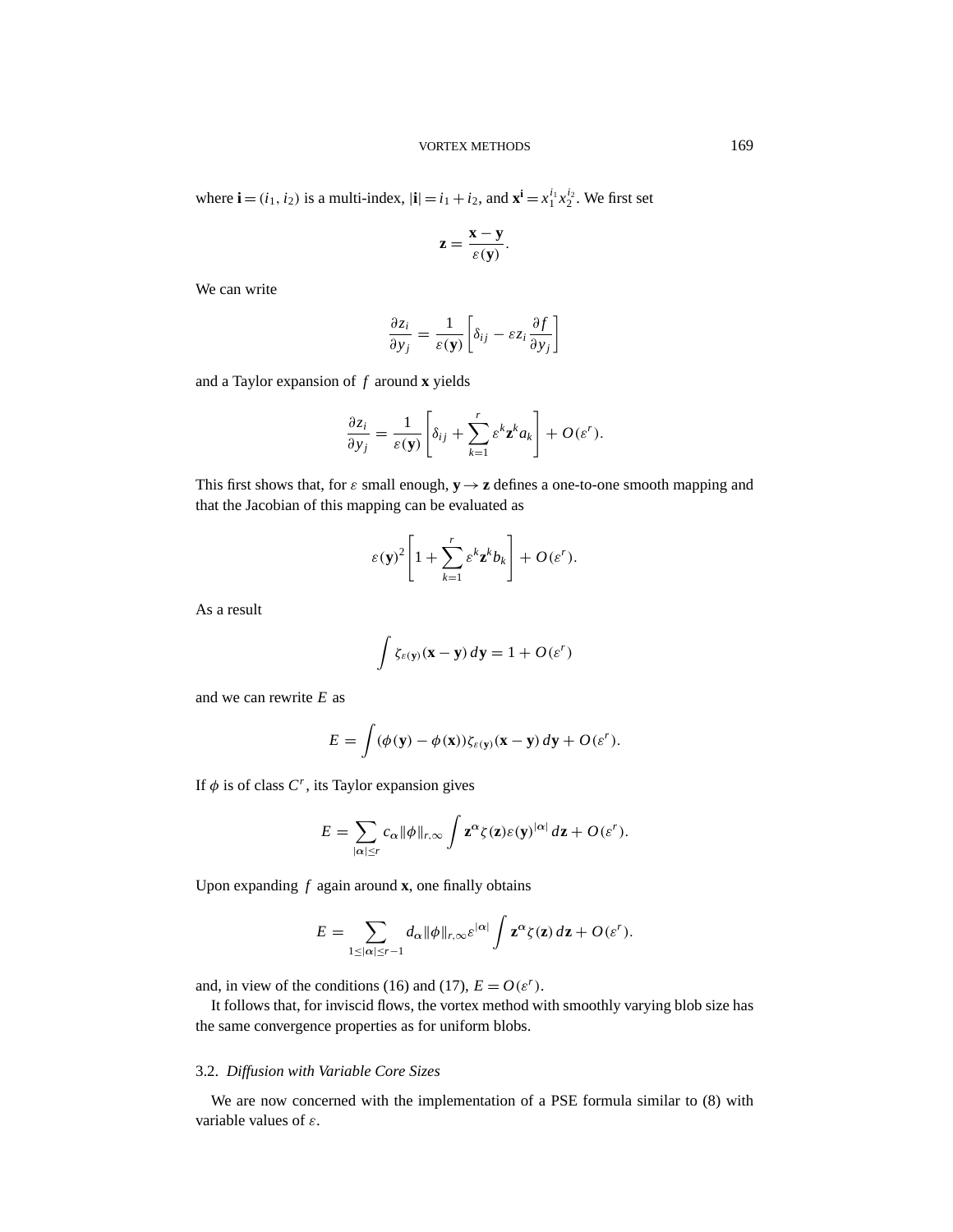where **i** =  $(i_1, i_2)$  is a multi-index,  $|\mathbf{i}| = i_1 + i_2$ , and  $\mathbf{x}^{\mathbf{i}} = x_1^{i_1} x_2^{i_2}$ . We first set

$$
z=\frac{x-y}{\varepsilon(y)}.
$$

We can write

$$
\frac{\partial z_i}{\partial y_j} = \frac{1}{\varepsilon(\mathbf{y})} \left[ \delta_{ij} - \varepsilon z_i \frac{\partial f}{\partial y_j} \right]
$$

and a Taylor expansion of *f* around **x** yields

$$
\frac{\partial z_i}{\partial y_j} = \frac{1}{\varepsilon(\mathbf{y})} \left[ \delta_{ij} + \sum_{k=1}^r \varepsilon^k \mathbf{z}^k a_k \right] + O(\varepsilon^r).
$$

This first shows that, for  $\varepsilon$  small enough,  $y \rightarrow z$  defines a one-to-one smooth mapping and that the Jacobian of this mapping can be evaluated as

$$
\varepsilon(\mathbf{y})^2 \left[ 1 + \sum_{k=1}^r \varepsilon^k \mathbf{z}^k b_k \right] + O(\varepsilon^r).
$$

As a result

$$
\int \zeta_{\varepsilon(\mathbf{y})}(\mathbf{x} - \mathbf{y}) \, d\mathbf{y} = 1 + O(\varepsilon^r)
$$

and we can rewrite *E* as

$$
E = \int (\phi(\mathbf{y}) - \phi(\mathbf{x})) \zeta_{\varepsilon(\mathbf{y})}(\mathbf{x} - \mathbf{y}) \, d\mathbf{y} + O(\varepsilon^r).
$$

If  $\phi$  is of class  $C^r$ , its Taylor expansion gives

$$
E = \sum_{|\alpha| \leq r} c_{\alpha} ||\phi||_{r,\infty} \int \mathbf{z}^{\alpha} \zeta(\mathbf{z}) \varepsilon(\mathbf{y})^{|\alpha|} d\mathbf{z} + O(\varepsilon^{r}).
$$

Upon expanding  $f$  again around  $\bf{x}$ , one finally obtains

$$
E = \sum_{1 \leq |\alpha| \leq r-1} d_{\alpha} ||\phi||_{r,\infty} \varepsilon^{|\alpha|} \int \mathbf{z}^{\alpha} \zeta(\mathbf{z}) d\mathbf{z} + O(\varepsilon^{r}).
$$

and, in view of the conditions (16) and (17),  $E = O(\varepsilon^r)$ .

It follows that, for inviscid flows, the vortex method with smoothly varying blob size has the same convergence properties as for uniform blobs.

# 3.2. *Diffusion with Variable Core Sizes*

We are now concerned with the implementation of a PSE formula similar to (8) with variable values of  $\varepsilon$ .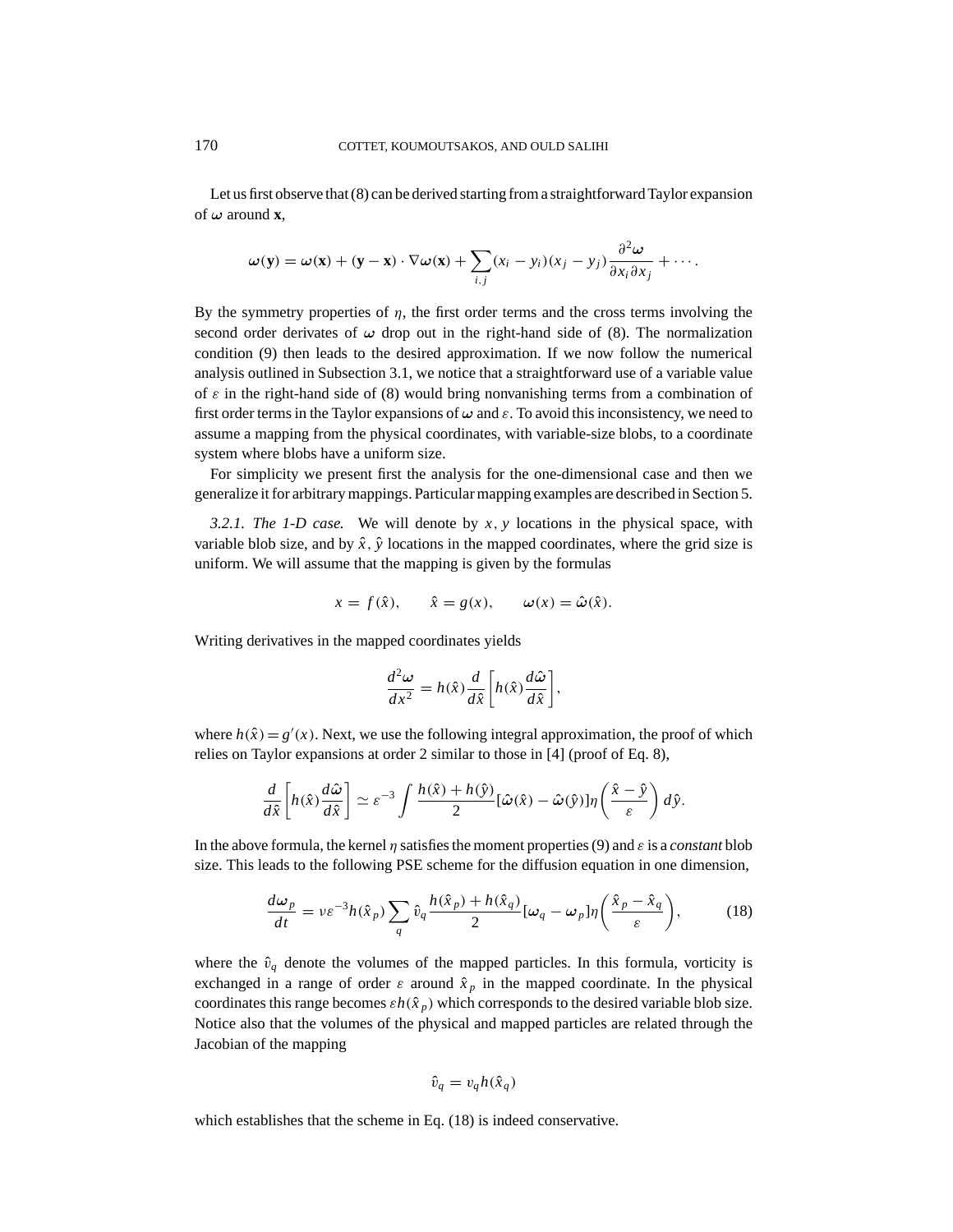Let us first observe that (8) can be derived starting from a straightforward Taylor expansion of *ω* around **x**,

$$
\boldsymbol{\omega}(\mathbf{y}) = \boldsymbol{\omega}(\mathbf{x}) + (\mathbf{y} - \mathbf{x}) \cdot \nabla \boldsymbol{\omega}(\mathbf{x}) + \sum_{i,j} (x_i - y_i)(x_j - y_j) \frac{\partial^2 \boldsymbol{\omega}}{\partial x_i \partial x_j} + \cdots
$$

By the symmetry properties of  $\eta$ , the first order terms and the cross terms involving the second order derivates of  $\omega$  drop out in the right-hand side of (8). The normalization condition (9) then leads to the desired approximation. If we now follow the numerical analysis outlined in Subsection 3.1, we notice that a straightforward use of a variable value of  $\varepsilon$  in the right-hand side of (8) would bring nonvanishing terms from a combination of first order terms in the Taylor expansions of *ω* and ε. To avoid this inconsistency, we need to assume a mapping from the physical coordinates, with variable-size blobs, to a coordinate system where blobs have a uniform size.

For simplicity we present first the analysis for the one-dimensional case and then we generalize it for arbitrary mappings. Particular mapping examples are described in Section 5.

*3.2.1. The 1-D case.* We will denote by *x*, *y* locations in the physical space, with variable blob size, and by  $\hat{x}$ ,  $\hat{y}$  locations in the mapped coordinates, where the grid size is uniform. We will assume that the mapping is given by the formulas

$$
x = f(\hat{x}), \quad \hat{x} = g(x), \quad \omega(x) = \hat{\omega}(\hat{x}).
$$

Writing derivatives in the mapped coordinates yields

$$
\frac{d^2\omega}{dx^2} = h(\hat{x})\frac{d}{d\hat{x}}\left[h(\hat{x})\frac{d\hat{\omega}}{d\hat{x}}\right],
$$

where  $h(\hat{x}) = g'(x)$ . Next, we use the following integral approximation, the proof of which relies on Taylor expansions at order 2 similar to those in [4] (proof of Eq. 8),

$$
\frac{d}{d\hat{x}}\left[h(\hat{x})\frac{d\hat{\omega}}{d\hat{x}}\right] \simeq \varepsilon^{-3} \int \frac{h(\hat{x}) + h(\hat{y})}{2} [\hat{\omega}(\hat{x}) - \hat{\omega}(\hat{y})]\eta\left(\frac{\hat{x} - \hat{y}}{\varepsilon}\right) d\hat{y}.
$$

In the above formula, the kernel  $\eta$  satisfies the moment properties (9) and  $\varepsilon$  is a *constant* blob size. This leads to the following PSE scheme for the diffusion equation in one dimension,

$$
\frac{d\omega_p}{dt} = v\varepsilon^{-3}h(\hat{x}_p)\sum_q \hat{v}_q \frac{h(\hat{x}_p) + h(\hat{x}_q)}{2} [\omega_q - \omega_p]\eta\left(\frac{\hat{x}_p - \hat{x}_q}{\varepsilon}\right),\tag{18}
$$

where the  $\hat{v}_q$  denote the volumes of the mapped particles. In this formula, vorticity is exchanged in a range of order  $\varepsilon$  around  $\hat{x}_p$  in the mapped coordinate. In the physical coordinates this range becomes  $\varepsilon h(\hat{x}_p)$  which corresponds to the desired variable blob size. Notice also that the volumes of the physical and mapped particles are related through the Jacobian of the mapping

$$
\hat{v}_q = v_q h(\hat{x}_q)
$$

which establishes that the scheme in Eq. (18) is indeed conservative.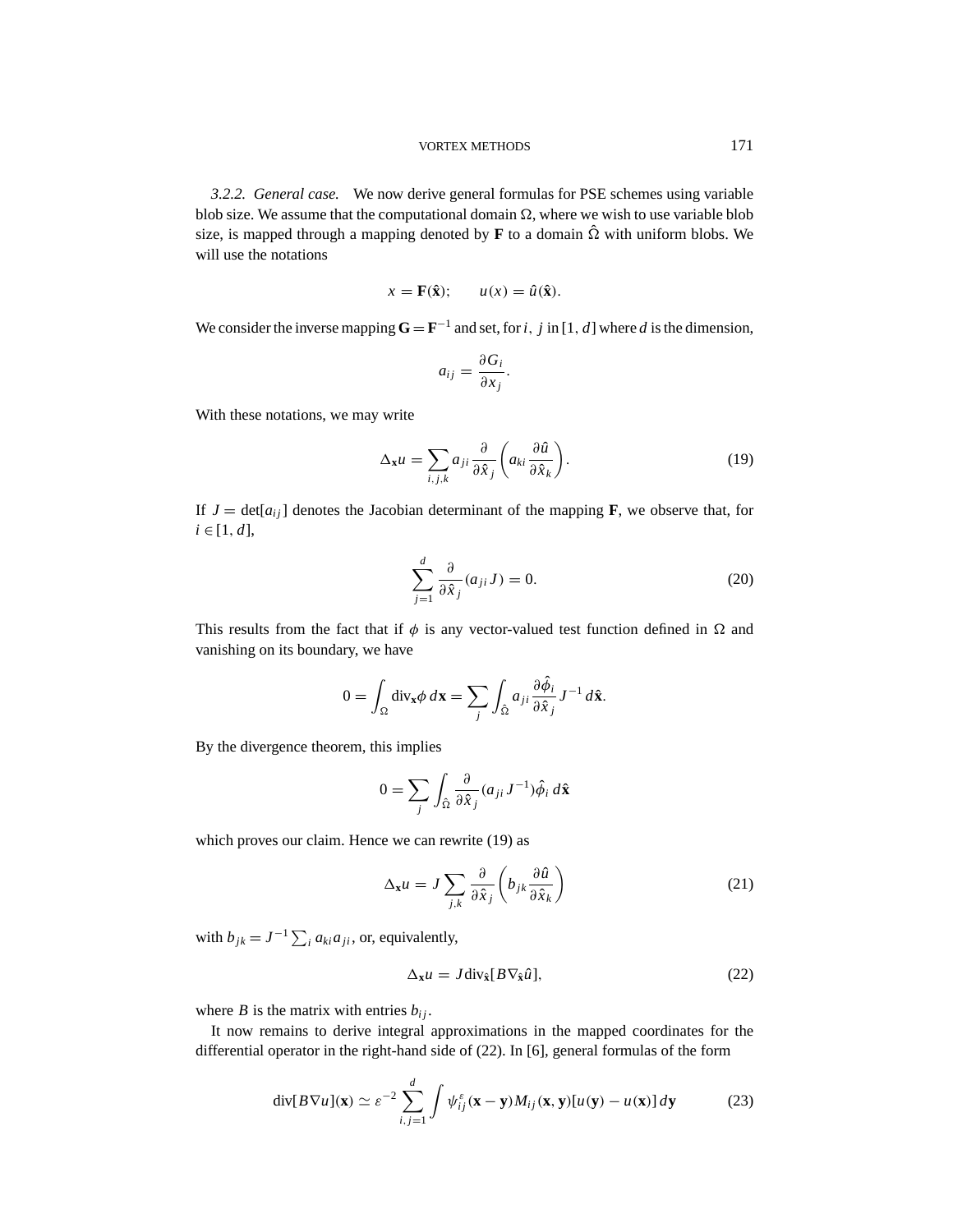*3.2.2. General case.* We now derive general formulas for PSE schemes using variable blob size. We assume that the computational domain  $\Omega$ , where we wish to use variable blob size, is mapped through a mapping denoted by **F** to a domain  $\hat{\Omega}$  with uniform blobs. We will use the notations

$$
x = \mathbf{F}(\hat{\mathbf{x}}); \qquad u(x) = \hat{u}(\hat{\mathbf{x}}).
$$

We consider the inverse mapping  $\mathbf{G} = \mathbf{F}^{-1}$  and set, for *i*, *j* in [1, *d*] where *d* is the dimension,

$$
a_{ij} = \frac{\partial G_i}{\partial x_j}.
$$

With these notations, we may write

$$
\Delta_{\mathbf{x}} u = \sum_{i,j,k} a_{ji} \frac{\partial}{\partial \hat{x}_j} \left( a_{ki} \frac{\partial \hat{u}}{\partial \hat{x}_k} \right).
$$
 (19)

If  $J = det[a_{ij}]$  denotes the Jacobian determinant of the mapping **F**, we observe that, for  $i \in [1, d]$ ,

$$
\sum_{j=1}^{d} \frac{\partial}{\partial \hat{x}_j} (a_{ji} J) = 0.
$$
 (20)

This results from the fact that if  $\phi$  is any vector-valued test function defined in  $\Omega$  and vanishing on its boundary, we have

$$
0 = \int_{\Omega} \operatorname{div}_{\mathbf{x}} \phi \, d\mathbf{x} = \sum_{j} \int_{\hat{\Omega}} a_{ji} \frac{\partial \hat{\phi}_{i}}{\partial \hat{x}_{j}} J^{-1} \, d\hat{\mathbf{x}}.
$$

By the divergence theorem, this implies

$$
0 = \sum_{j} \int_{\hat{\Omega}} \frac{\partial}{\partial \hat{x}_j} (a_{ji} J^{-1}) \hat{\phi}_i d\hat{\mathbf{x}}
$$

which proves our claim. Hence we can rewrite (19) as

$$
\Delta_{\mathbf{x}}u = J \sum_{j,k} \frac{\partial}{\partial \hat{x}_j} \left( b_{jk} \frac{\partial \hat{u}}{\partial \hat{x}_k} \right)
$$
(21)

with  $b_{jk} = J^{-1} \sum_i a_{ki} a_{ji}$ , or, equivalently,

$$
\Delta_{\mathbf{x}}u = J \operatorname{div}_{\hat{\mathbf{x}}}[B \nabla_{\hat{\mathbf{x}}} \hat{u}], \tag{22}
$$

where *B* is the matrix with entries  $b_{ij}$ .

It now remains to derive integral approximations in the mapped coordinates for the differential operator in the right-hand side of (22). In [6], general formulas of the form

$$
\operatorname{div}[B\nabla u](\mathbf{x}) \simeq \varepsilon^{-2} \sum_{i,j=1}^d \int \psi_{ij}^\varepsilon(\mathbf{x} - \mathbf{y}) M_{ij}(\mathbf{x}, \mathbf{y}) [u(\mathbf{y}) - u(\mathbf{x})] d\mathbf{y}
$$
(23)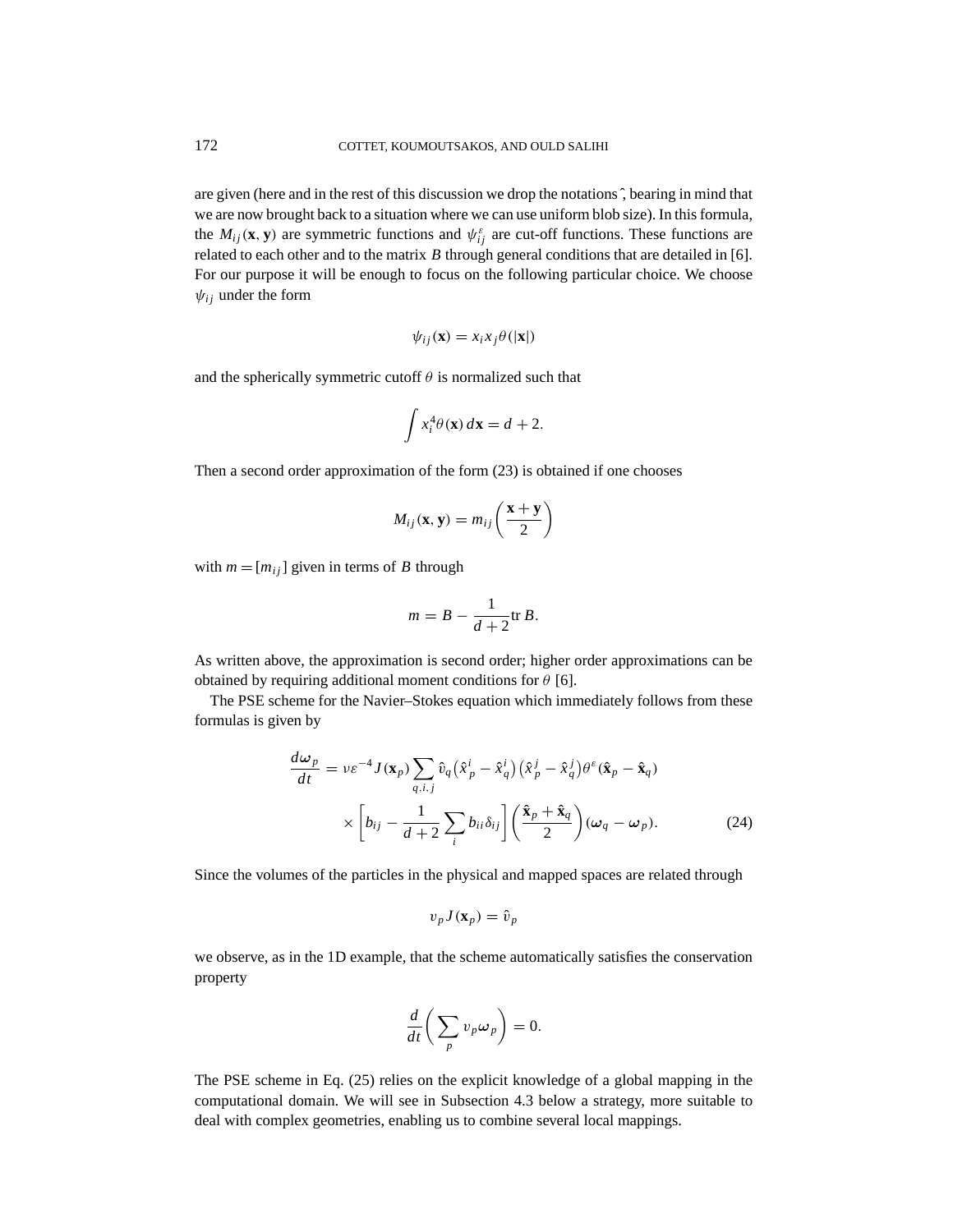are given (here and in the rest of this discussion we drop the notations ˆ, bearing in mind that we are now brought back to a situation where we can use uniform blob size). In this formula, the  $M_{ij}$ (**x**, **y**) are symmetric functions and  $\psi_{ij}^{\varepsilon}$  are cut-off functions. These functions are related to each other and to the matrix *B* through general conditions that are detailed in [6]. For our purpose it will be enough to focus on the following particular choice. We choose  $\psi_{ij}$  under the form

$$
\psi_{ij}(\mathbf{x}) = x_i x_j \theta(|\mathbf{x}|)
$$

and the spherically symmetric cutoff  $\theta$  is normalized such that

$$
\int x_i^4 \theta(\mathbf{x}) \, d\mathbf{x} = d+2.
$$

Then a second order approximation of the form (23) is obtained if one chooses

$$
M_{ij}(\mathbf{x}, \mathbf{y}) = m_{ij} \left( \frac{\mathbf{x} + \mathbf{y}}{2} \right)
$$

with  $m = [m_{ij}]$  given in terms of *B* through

$$
m = B - \frac{1}{d+2} \text{tr } B.
$$

As written above, the approximation is second order; higher order approximations can be obtained by requiring additional moment conditions for  $\theta$  [6].

The PSE scheme for the Navier–Stokes equation which immediately follows from these formulas is given by

$$
\frac{d\omega_p}{dt} = v\varepsilon^{-4} J(\mathbf{x}_p) \sum_{q,i,j} \hat{v}_q (\hat{x}_p^i - \hat{x}_q^i) (\hat{x}_p^j - \hat{x}_q^j) \theta^\varepsilon (\hat{\mathbf{x}}_p - \hat{\mathbf{x}}_q)
$$

$$
\times \left[ b_{ij} - \frac{1}{d+2} \sum_i b_{ii} \delta_{ij} \right] \left( \frac{\hat{\mathbf{x}}_p + \hat{\mathbf{x}}_q}{2} \right) (\omega_q - \omega_p). \tag{24}
$$

Since the volumes of the particles in the physical and mapped spaces are related through

$$
v_p J(\mathbf{x}_p) = \hat{v}_p
$$

we observe, as in the 1D example, that the scheme automatically satisfies the conservation property

$$
\frac{d}{dt}\bigg(\sum_{p}v_{p}\omega_{p}\bigg)=0.
$$

The PSE scheme in Eq. (25) relies on the explicit knowledge of a global mapping in the computational domain. We will see in Subsection 4.3 below a strategy, more suitable to deal with complex geometries, enabling us to combine several local mappings.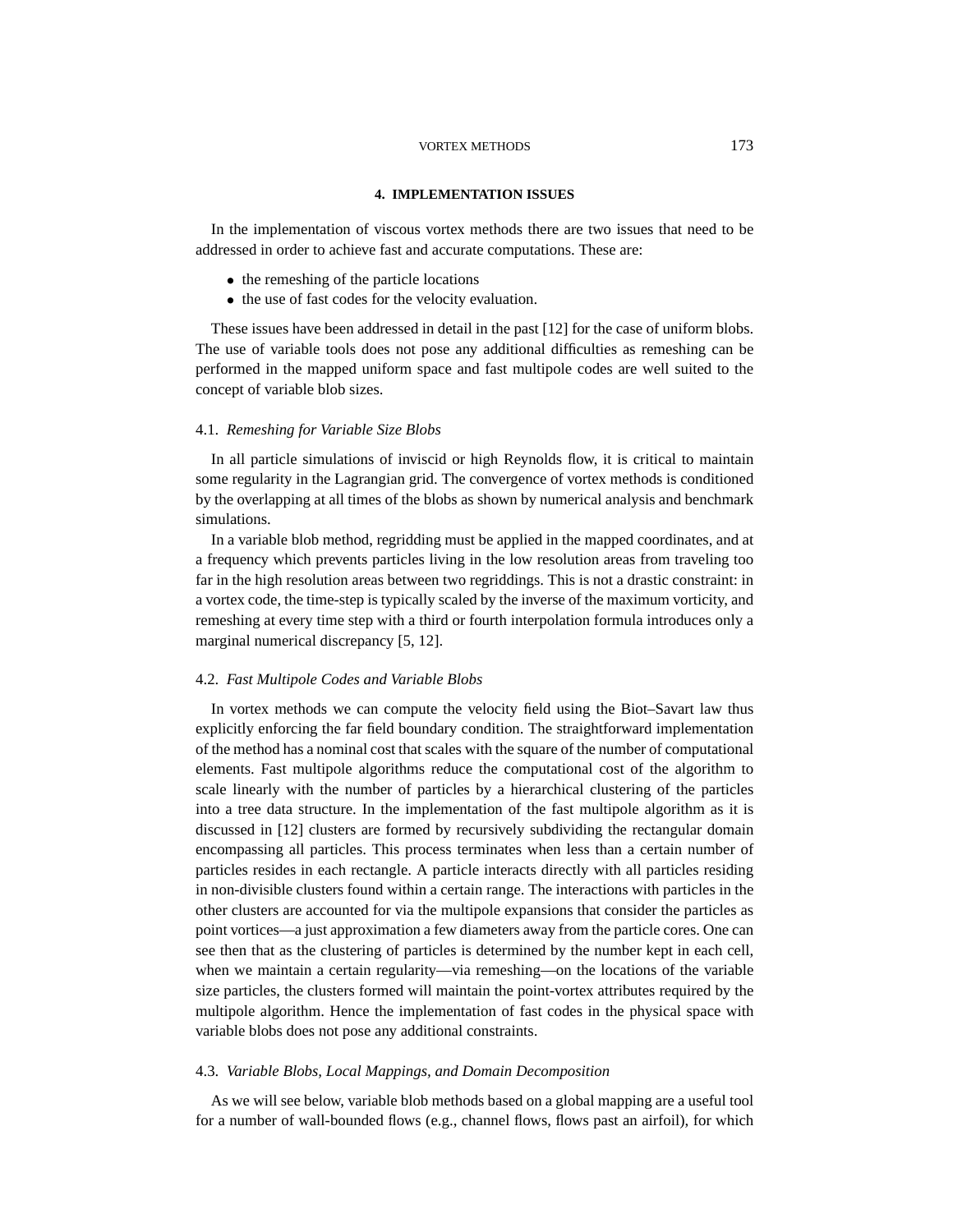#### **4. IMPLEMENTATION ISSUES**

In the implementation of viscous vortex methods there are two issues that need to be addressed in order to achieve fast and accurate computations. These are:

- the remeshing of the particle locations
- the use of fast codes for the velocity evaluation.

These issues have been addressed in detail in the past [12] for the case of uniform blobs. The use of variable tools does not pose any additional difficulties as remeshing can be performed in the mapped uniform space and fast multipole codes are well suited to the concept of variable blob sizes.

# 4.1. *Remeshing for Variable Size Blobs*

In all particle simulations of inviscid or high Reynolds flow, it is critical to maintain some regularity in the Lagrangian grid. The convergence of vortex methods is conditioned by the overlapping at all times of the blobs as shown by numerical analysis and benchmark simulations.

In a variable blob method, regridding must be applied in the mapped coordinates, and at a frequency which prevents particles living in the low resolution areas from traveling too far in the high resolution areas between two regriddings. This is not a drastic constraint: in a vortex code, the time-step is typically scaled by the inverse of the maximum vorticity, and remeshing at every time step with a third or fourth interpolation formula introduces only a marginal numerical discrepancy [5, 12].

#### 4.2. *Fast Multipole Codes and Variable Blobs*

In vortex methods we can compute the velocity field using the Biot–Savart law thus explicitly enforcing the far field boundary condition. The straightforward implementation of the method has a nominal cost that scales with the square of the number of computational elements. Fast multipole algorithms reduce the computational cost of the algorithm to scale linearly with the number of particles by a hierarchical clustering of the particles into a tree data structure. In the implementation of the fast multipole algorithm as it is discussed in [12] clusters are formed by recursively subdividing the rectangular domain encompassing all particles. This process terminates when less than a certain number of particles resides in each rectangle. A particle interacts directly with all particles residing in non-divisible clusters found within a certain range. The interactions with particles in the other clusters are accounted for via the multipole expansions that consider the particles as point vortices—a just approximation a few diameters away from the particle cores. One can see then that as the clustering of particles is determined by the number kept in each cell, when we maintain a certain regularity—via remeshing—on the locations of the variable size particles, the clusters formed will maintain the point-vortex attributes required by the multipole algorithm. Hence the implementation of fast codes in the physical space with variable blobs does not pose any additional constraints.

#### 4.3. *Variable Blobs, Local Mappings, and Domain Decomposition*

As we will see below, variable blob methods based on a global mapping are a useful tool for a number of wall-bounded flows (e.g., channel flows, flows past an airfoil), for which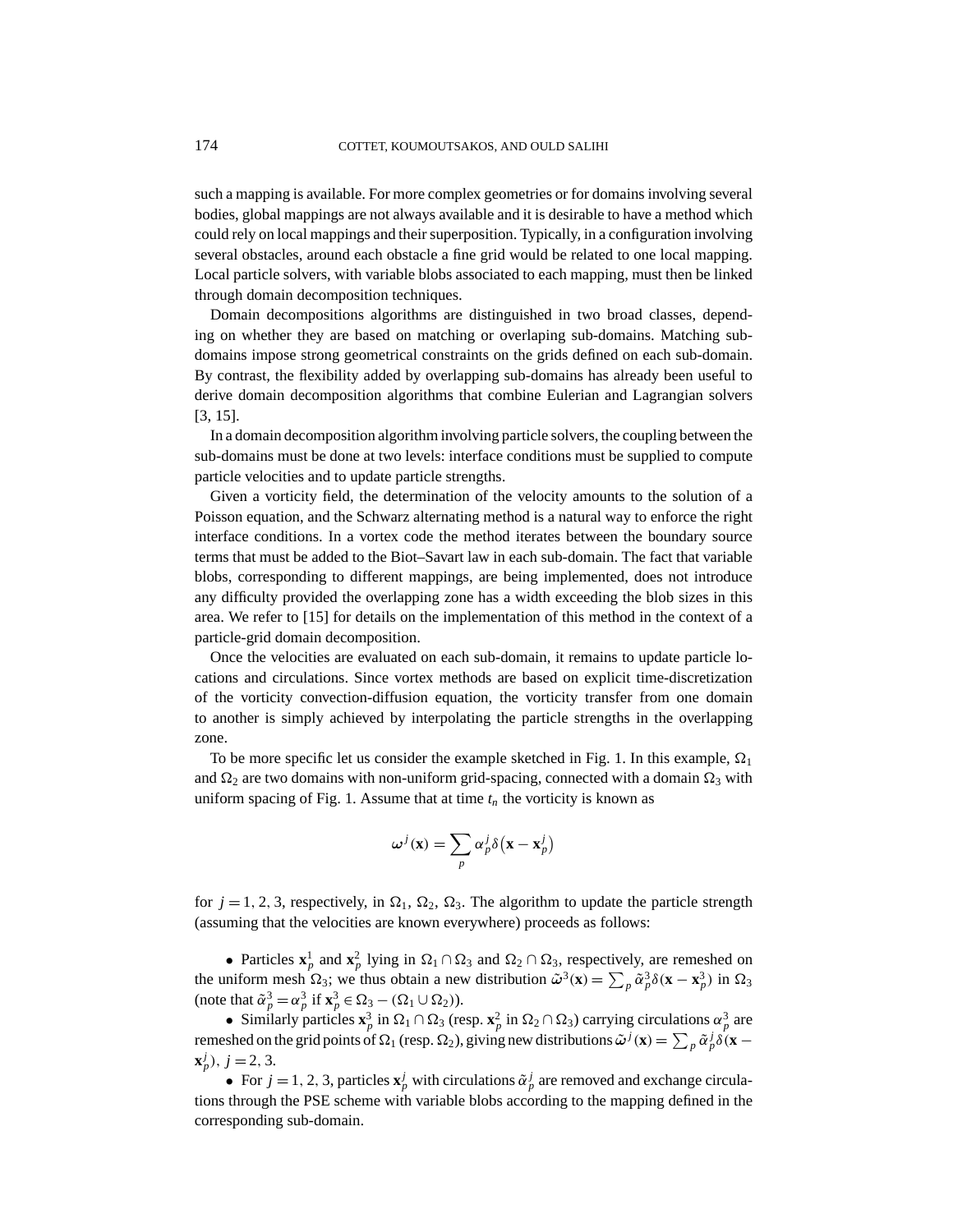such a mapping is available. For more complex geometries or for domains involving several bodies, global mappings are not always available and it is desirable to have a method which could rely on local mappings and their superposition. Typically, in a configuration involving several obstacles, around each obstacle a fine grid would be related to one local mapping. Local particle solvers, with variable blobs associated to each mapping, must then be linked through domain decomposition techniques.

Domain decompositions algorithms are distinguished in two broad classes, depending on whether they are based on matching or overlaping sub-domains. Matching subdomains impose strong geometrical constraints on the grids defined on each sub-domain. By contrast, the flexibility added by overlapping sub-domains has already been useful to derive domain decomposition algorithms that combine Eulerian and Lagrangian solvers [3, 15].

In a domain decomposition algorithm involving particle solvers, the coupling between the sub-domains must be done at two levels: interface conditions must be supplied to compute particle velocities and to update particle strengths.

Given a vorticity field, the determination of the velocity amounts to the solution of a Poisson equation, and the Schwarz alternating method is a natural way to enforce the right interface conditions. In a vortex code the method iterates between the boundary source terms that must be added to the Biot–Savart law in each sub-domain. The fact that variable blobs, corresponding to different mappings, are being implemented, does not introduce any difficulty provided the overlapping zone has a width exceeding the blob sizes in this area. We refer to [15] for details on the implementation of this method in the context of a particle-grid domain decomposition.

Once the velocities are evaluated on each sub-domain, it remains to update particle locations and circulations. Since vortex methods are based on explicit time-discretization of the vorticity convection-diffusion equation, the vorticity transfer from one domain to another is simply achieved by interpolating the particle strengths in the overlapping zone.

To be more specific let us consider the example sketched in Fig. 1. In this example,  $\Omega_1$ and  $\Omega_2$  are two domains with non-uniform grid-spacing, connected with a domain  $\Omega_3$  with uniform spacing of Fig. 1. Assume that at time  $t_n$  the vorticity is known as

$$
\omega^{j}(\mathbf{x}) = \sum_{p} \alpha_{p}^{j} \delta(\mathbf{x} - \mathbf{x}_{p}^{j})
$$

for  $j = 1, 2, 3$ , respectively, in  $\Omega_1$ ,  $\Omega_2$ ,  $\Omega_3$ . The algorithm to update the particle strength (assuming that the velocities are known everywhere) proceeds as follows:

• Particles  $\mathbf{x}_p^1$  and  $\mathbf{x}_p^2$  lying in  $\Omega_1 \cap \Omega_3$  and  $\Omega_2 \cap \Omega_3$ , respectively, are remeshed on the uniform mesh  $\Omega_3$ ; we thus obtain a new distribution  $\tilde{\omega}^3(\mathbf{x}) = \sum_p \tilde{\alpha}_p^3 \delta(\mathbf{x} - \mathbf{x}_p^3)$  in  $\Omega_3$ (note that  $\tilde{\alpha}_p^3 = \alpha_p^3$  if  $\mathbf{x}_p^3 \in \Omega_3 - (\Omega_1 \cup \Omega_2)$ ).

• Similarly particles  $\mathbf{x}_p^3$  in  $\Omega_1 \cap \Omega_3$  (resp.  $\mathbf{x}_p^2$  in  $\Omega_2 \cap \Omega_3$ ) carrying circulations  $\alpha_p^3$  are remeshed on the grid points of  $\Omega_1$  (resp.  $\Omega_2$ ), giving new distributions  $\tilde{\omega}^j(\mathbf{x}) = \sum_p \tilde{\alpha}_p^j \delta(\mathbf{x} \mathbf{x}_p^j$ ,  $j = 2, 3$ .

• For  $j = 1, 2, 3$ , particles  $\mathbf{x}_p^j$  with circulations  $\tilde{\alpha}_p^j$  are removed and exchange circulations through the PSE scheme with variable blobs according to the mapping defined in the corresponding sub-domain.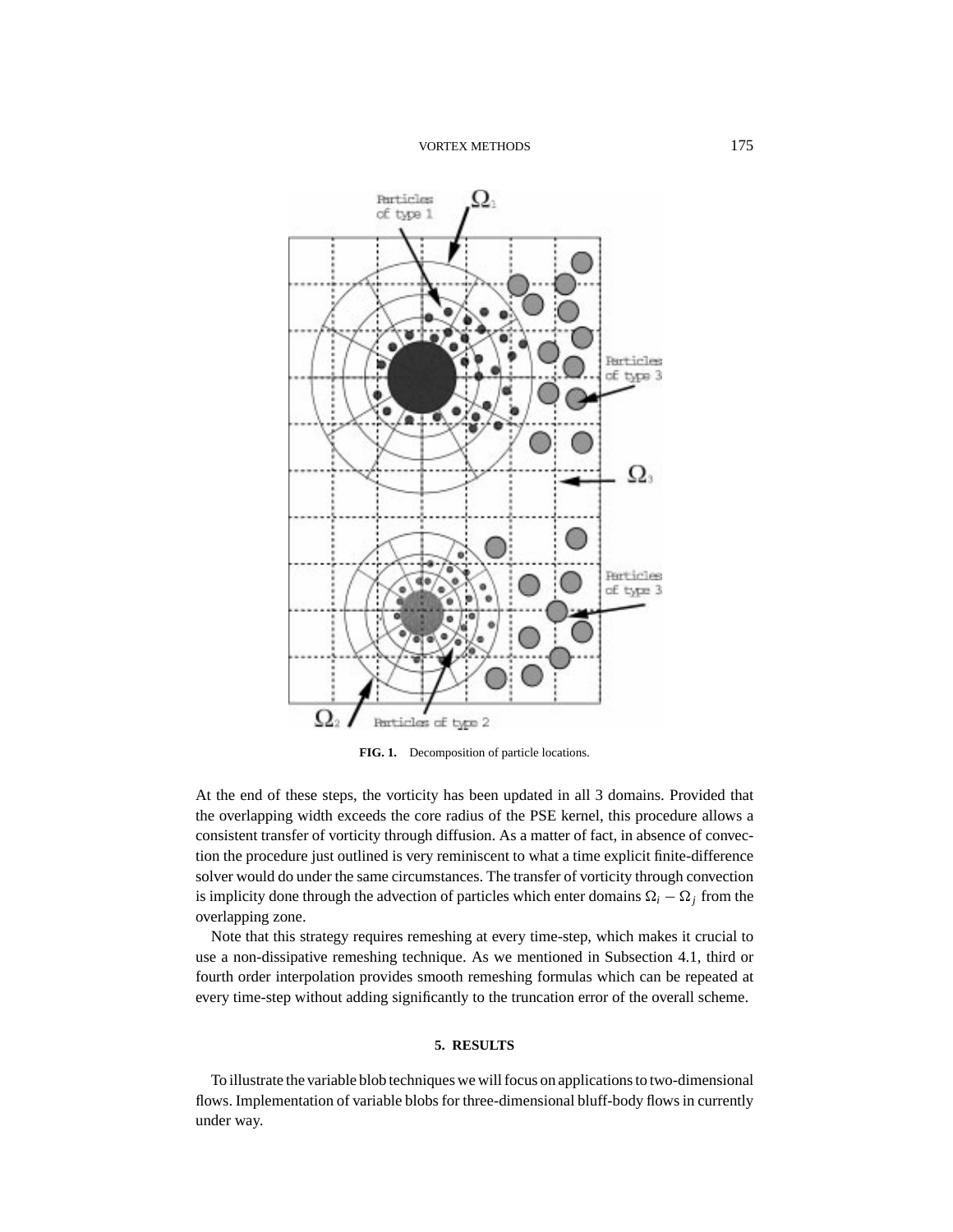

**FIG. 1.** Decomposition of particle locations.

At the end of these steps, the vorticity has been updated in all 3 domains. Provided that the overlapping width exceeds the core radius of the PSE kernel, this procedure allows a consistent transfer of vorticity through diffusion. As a matter of fact, in absence of convection the procedure just outlined is very reminiscent to what a time explicit finite-difference solver would do under the same circumstances. The transfer of vorticity through convection is implicity done through the advection of particles which enter domains  $\Omega_i - \Omega_j$  from the overlapping zone.

Note that this strategy requires remeshing at every time-step, which makes it crucial to use a non-dissipative remeshing technique. As we mentioned in Subsection 4.1, third or fourth order interpolation provides smooth remeshing formulas which can be repeated at every time-step without adding significantly to the truncation error of the overall scheme.

#### **5. RESULTS**

To illustrate the variable blob techniques we will focus on applications to two-dimensional flows. Implementation of variable blobs for three-dimensional bluff-body flows in currently under way.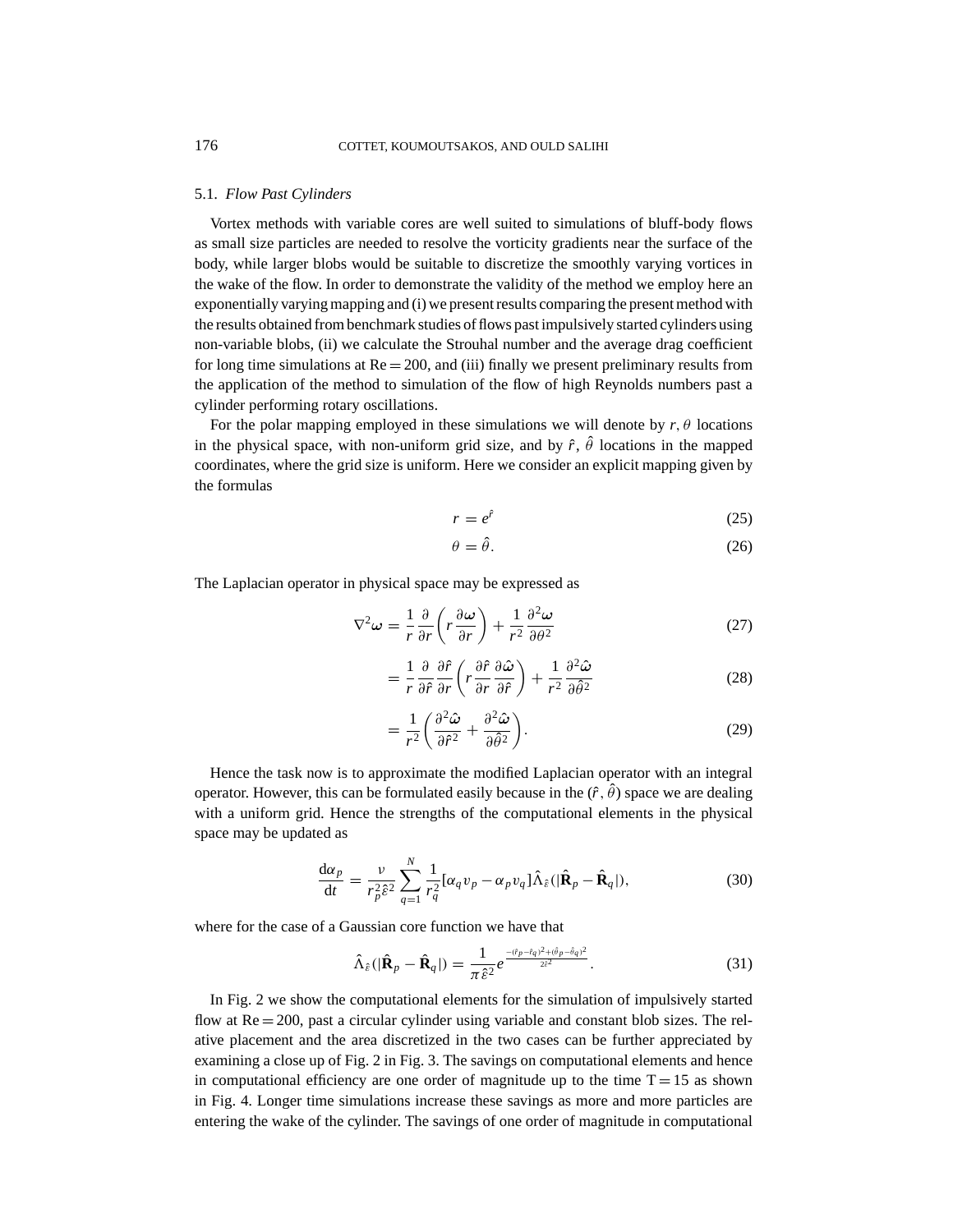#### 5.1. *Flow Past Cylinders*

Vortex methods with variable cores are well suited to simulations of bluff-body flows as small size particles are needed to resolve the vorticity gradients near the surface of the body, while larger blobs would be suitable to discretize the smoothly varying vortices in the wake of the flow. In order to demonstrate the validity of the method we employ here an exponentially varying mapping and (i) we present results comparing the present method with the results obtained from benchmark studies of flows past impulsively started cylinders using non-variable blobs, (ii) we calculate the Strouhal number and the average drag coefficient for long time simulations at  $Re = 200$ , and (iii) finally we present preliminary results from the application of the method to simulation of the flow of high Reynolds numbers past a cylinder performing rotary oscillations.

For the polar mapping employed in these simulations we will denote by  $r$ ,  $\theta$  locations in the physical space, with non-uniform grid size, and by  $\hat{r}$ ,  $\hat{\theta}$  locations in the mapped coordinates, where the grid size is uniform. Here we consider an explicit mapping given by the formulas

$$
r = e^{\hat{r}} \tag{25}
$$

$$
\theta = \hat{\theta}.\tag{26}
$$

The Laplacian operator in physical space may be expressed as

$$
\nabla^2 \omega = \frac{1}{r} \frac{\partial}{\partial r} \left( r \frac{\partial \omega}{\partial r} \right) + \frac{1}{r^2} \frac{\partial^2 \omega}{\partial \theta^2}
$$
(27)

$$
= \frac{1}{r} \frac{\partial}{\partial \hat{r}} \frac{\partial \hat{r}}{\partial r} \left( r \frac{\partial \hat{r}}{\partial r} \frac{\partial \hat{\omega}}{\partial \hat{r}} \right) + \frac{1}{r^2} \frac{\partial^2 \hat{\omega}}{\partial \hat{\theta}^2}
$$
(28)

$$
=\frac{1}{r^2}\left(\frac{\partial^2\hat{\omega}}{\partial\hat{r}^2}+\frac{\partial^2\hat{\omega}}{\partial\hat{\theta}^2}\right).
$$
\n(29)

Hence the task now is to approximate the modified Laplacian operator with an integral operator. However, this can be formulated easily because in the  $(\hat{r}, \hat{\theta})$  space we are dealing with a uniform grid. Hence the strengths of the computational elements in the physical space may be updated as

$$
\frac{d\alpha_p}{dt} = \frac{v}{r_p^2 \hat{\varepsilon}^2} \sum_{q=1}^N \frac{1}{r_q^2} [\alpha_q v_p - \alpha_p v_q] \hat{\Lambda}_{\hat{\varepsilon}} (|\hat{\mathbf{R}}_p - \hat{\mathbf{R}}_q|),
$$
\n(30)

where for the case of a Gaussian core function we have that

$$
\hat{\Lambda}_{\hat{\varepsilon}}(|\hat{\mathbf{R}}_p - \hat{\mathbf{R}}_q|) = \frac{1}{\pi \hat{\varepsilon}^2} e^{\frac{-(\hat{r}_p - \hat{r}_q)^2 + (\hat{\theta}_p - \hat{\theta}_q)^2}{2\hat{\varepsilon}^2}}.
$$
\n(31)

In Fig. 2 we show the computational elements for the simulation of impulsively started flow at  $Re = 200$ , past a circular cylinder using variable and constant blob sizes. The relative placement and the area discretized in the two cases can be further appreciated by examining a close up of Fig. 2 in Fig. 3. The savings on computational elements and hence in computational efficiency are one order of magnitude up to the time  $T = 15$  as shown in Fig. 4. Longer time simulations increase these savings as more and more particles are entering the wake of the cylinder. The savings of one order of magnitude in computational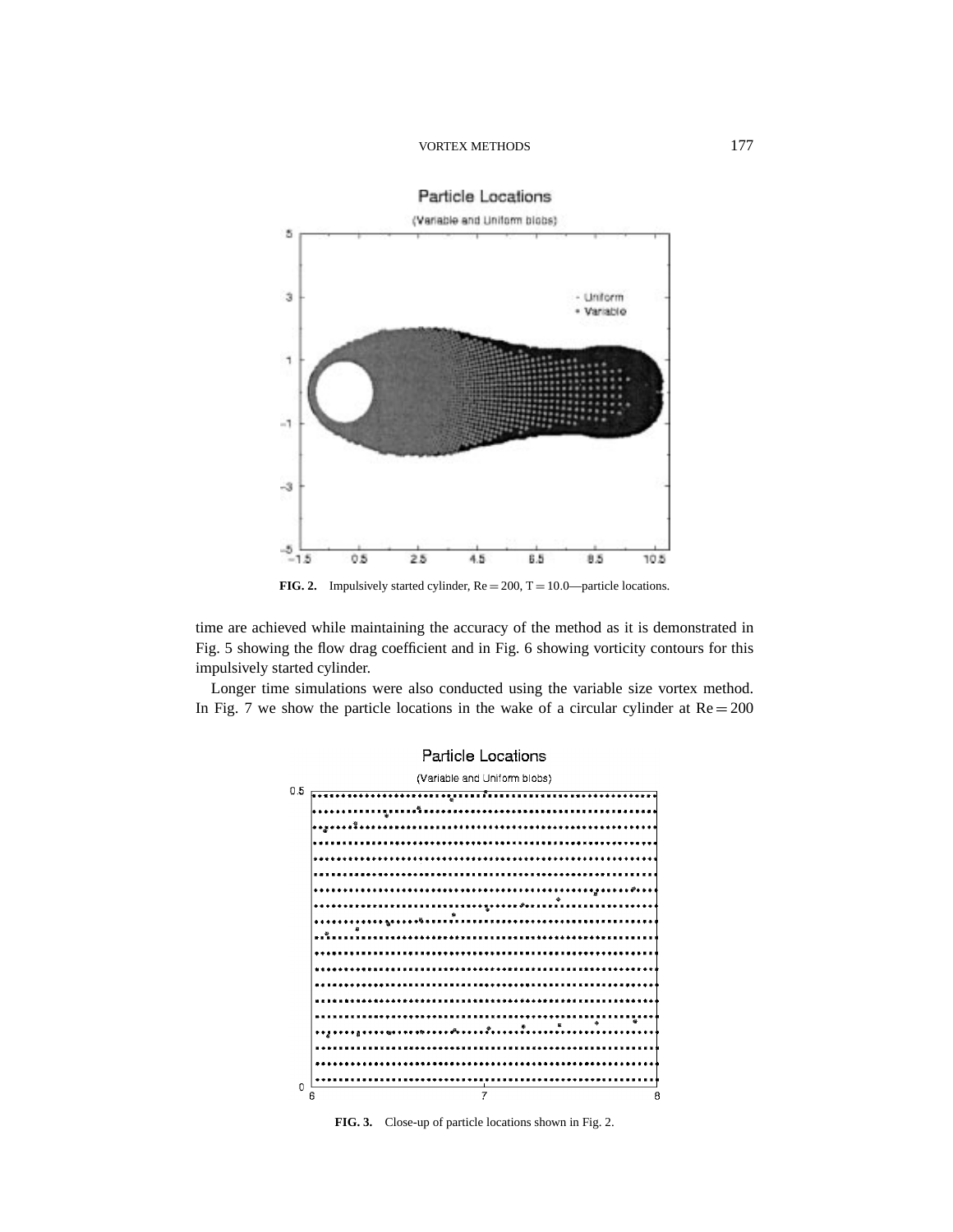Particle Locations



**FIG. 2.** Impulsively started cylinder,  $Re = 200$ ,  $T = 10.0$ —particle locations.

time are achieved while maintaining the accuracy of the method as it is demonstrated in Fig. 5 showing the flow drag coefficient and in Fig. 6 showing vorticity contours for this impulsively started cylinder.

Longer time simulations were also conducted using the variable size vortex method. In Fig. 7 we show the particle locations in the wake of a circular cylinder at  $Re = 200$ 

# Particle Locations (Variable and Uniform blobs)  $0.5<sub>L</sub>$  $\overline{0}$ 7 8

**FIG. 3.** Close-up of particle locations shown in Fig. 2.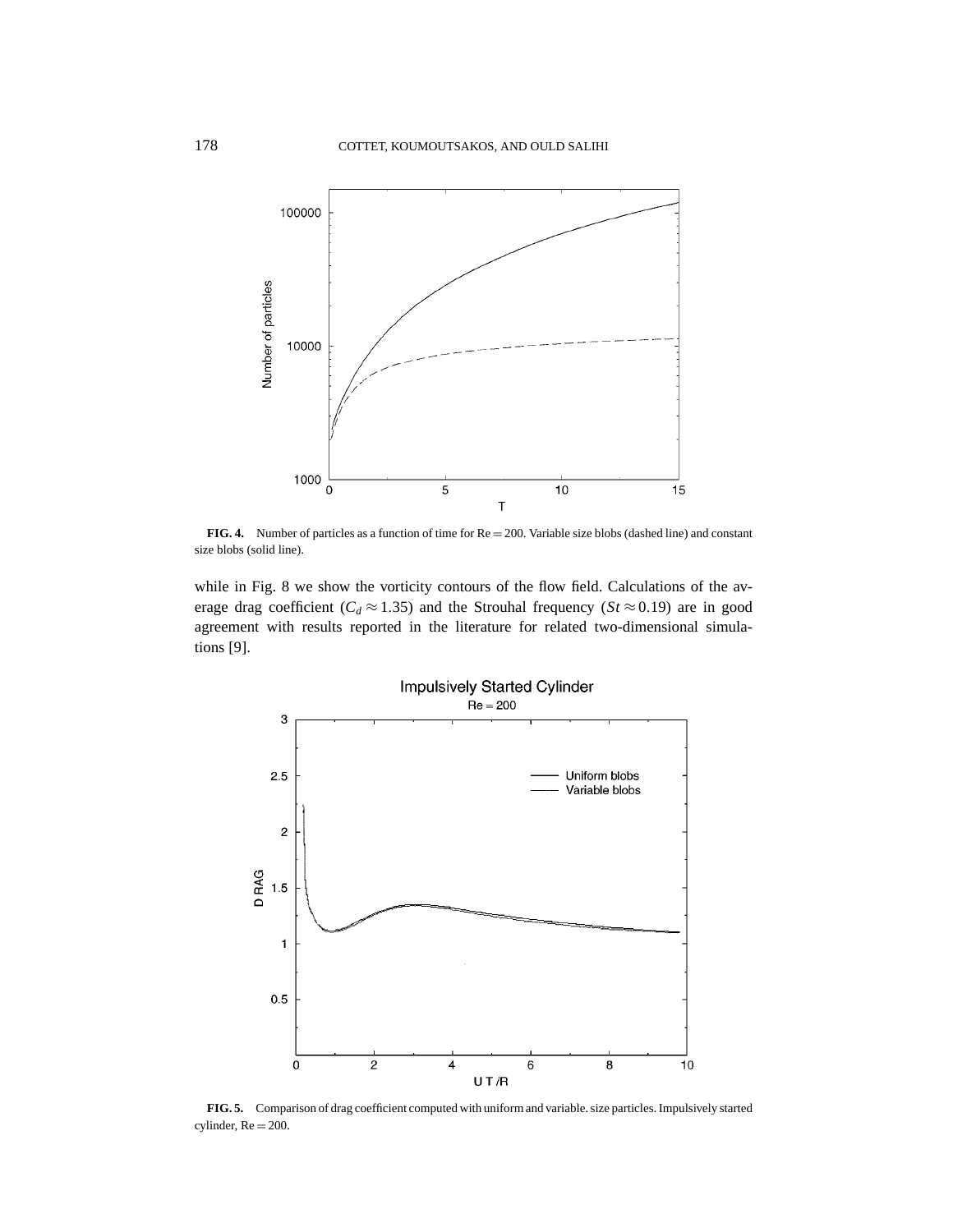

**FIG. 4.** Number of particles as a function of time for  $Re = 200$ . Variable size blobs (dashed line) and constant size blobs (solid line).

while in Fig. 8 we show the vorticity contours of the flow field. Calculations of the average drag coefficient ( $C_d \approx 1.35$ ) and the Strouhal frequency ( $St \approx 0.19$ ) are in good agreement with results reported in the literature for related two-dimensional simulations [9].



**FIG. 5.** Comparison of drag coefficient computed with uniform and variable. size particles. Impulsively started cylinder,  $Re = 200$ .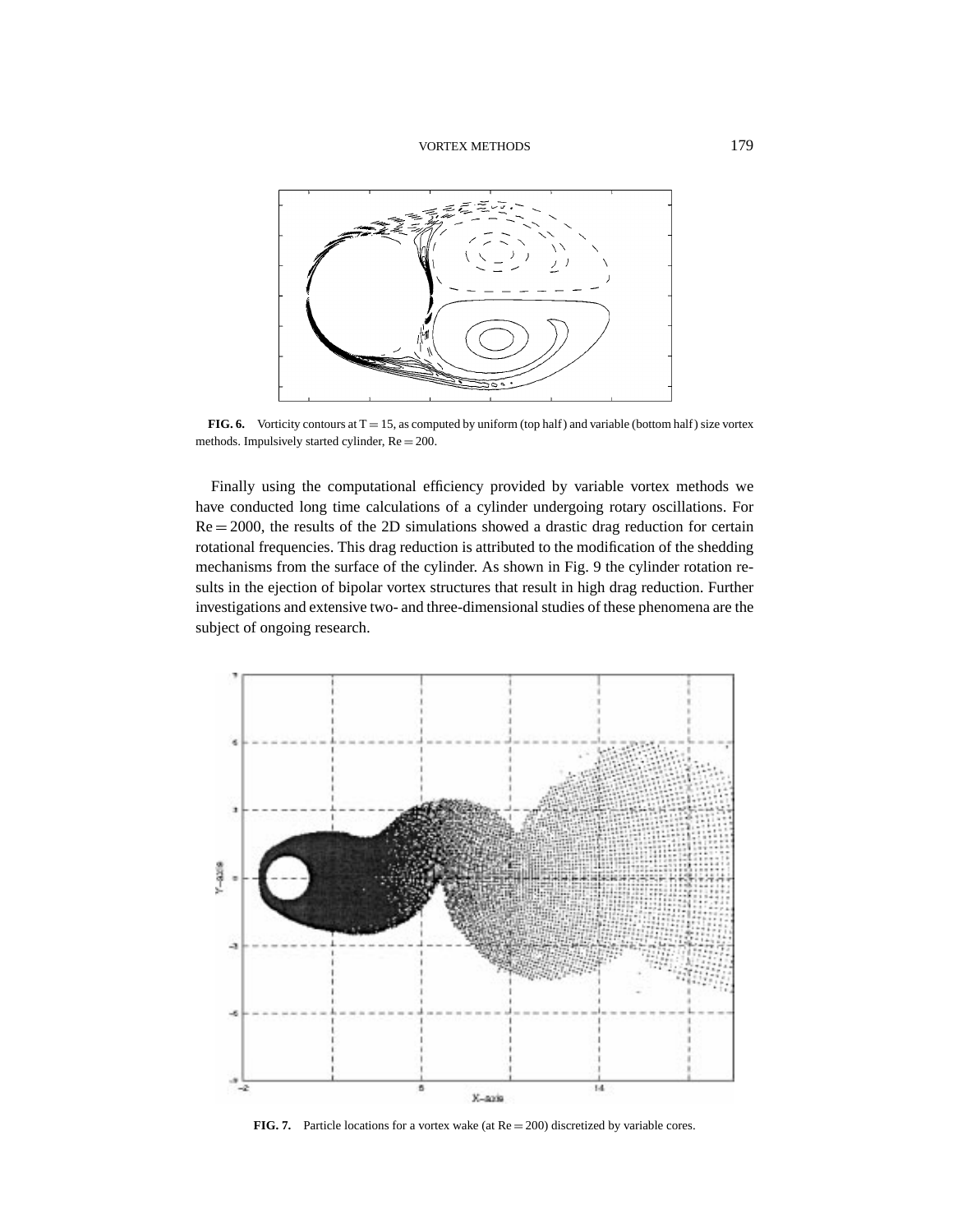

**FIG. 6.** Vorticity contours at  $T = 15$ , as computed by uniform (top half) and variable (bottom half) size vortex methods. Impulsively started cylinder,  $Re = 200$ .

Finally using the computational efficiency provided by variable vortex methods we have conducted long time calculations of a cylinder undergoing rotary oscillations. For  $Re = 2000$ , the results of the 2D simulations showed a drastic drag reduction for certain rotational frequencies. This drag reduction is attributed to the modification of the shedding mechanisms from the surface of the cylinder. As shown in Fig. 9 the cylinder rotation results in the ejection of bipolar vortex structures that result in high drag reduction. Further investigations and extensive two- and three-dimensional studies of these phenomena are the subject of ongoing research.



**FIG. 7.** Particle locations for a vortex wake (at  $Re = 200$ ) discretized by variable cores.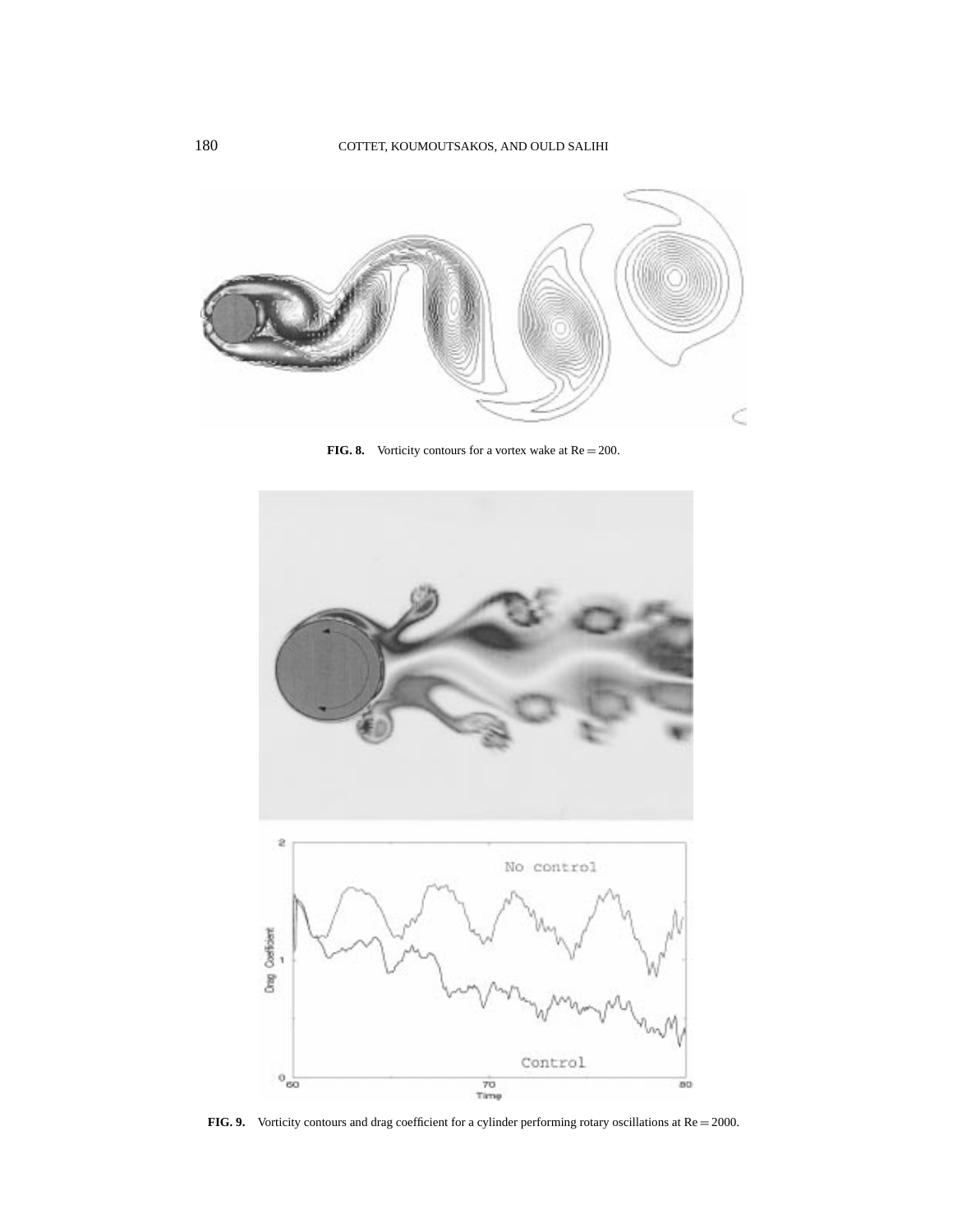

**FIG. 8.** Vorticity contours for a vortex wake at Re = 200.



**FIG. 9.** Vorticity contours and drag coefficient for a cylinder performing rotary oscillations at Re = 2000.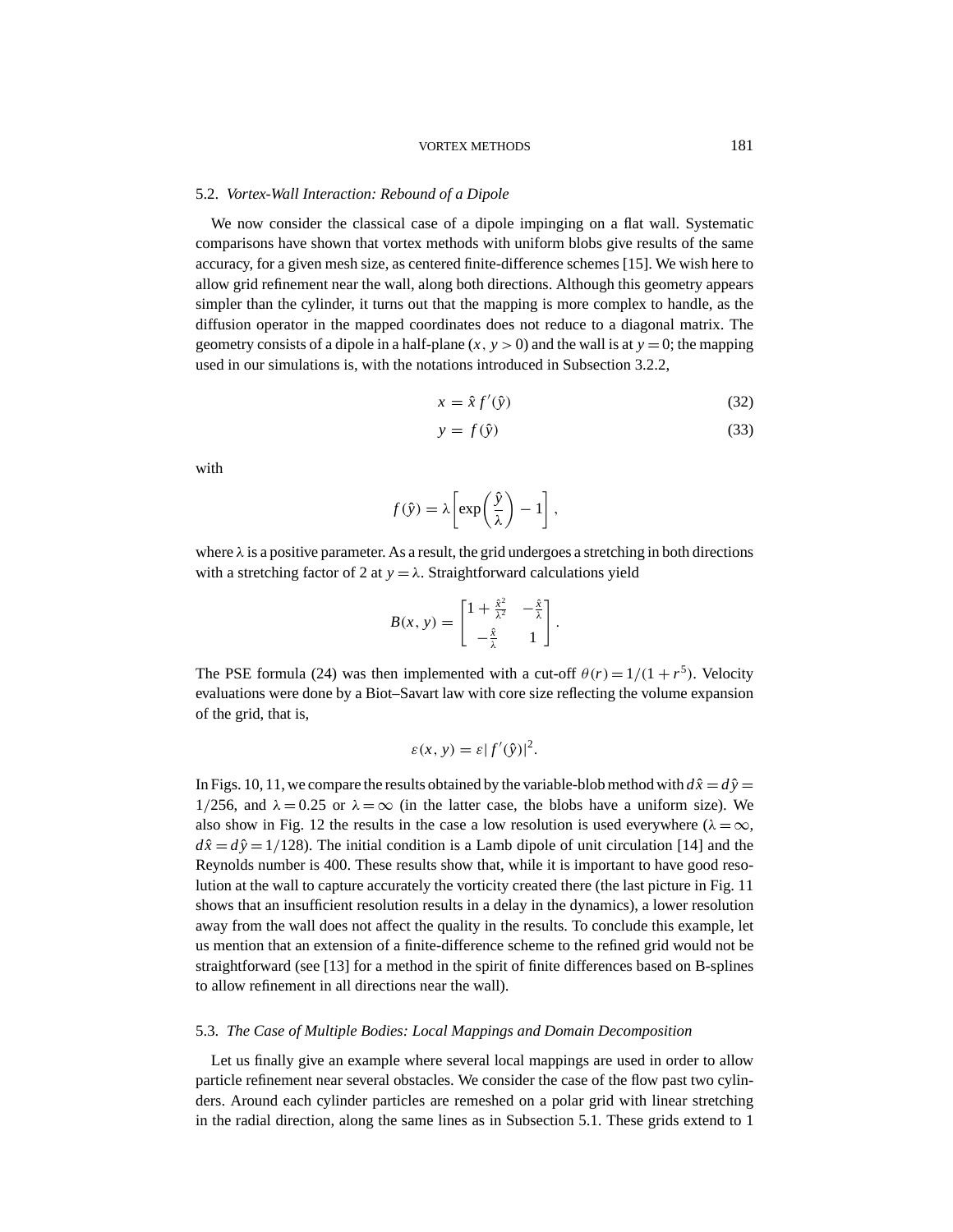#### 5.2. *Vortex-Wall Interaction: Rebound of a Dipole*

We now consider the classical case of a dipole impinging on a flat wall. Systematic comparisons have shown that vortex methods with uniform blobs give results of the same accuracy, for a given mesh size, as centered finite-difference schemes [15]. We wish here to allow grid refinement near the wall, along both directions. Although this geometry appears simpler than the cylinder, it turns out that the mapping is more complex to handle, as the diffusion operator in the mapped coordinates does not reduce to a diagonal matrix. The geometry consists of a dipole in a half-plane  $(x, y > 0)$  and the wall is at  $y = 0$ ; the mapping used in our simulations is, with the notations introduced in Subsection 3.2.2,

$$
x = \hat{x}f'(\hat{y})
$$
\n(32)

$$
y = f(\hat{y})\tag{33}
$$

with

$$
f(\hat{y}) = \lambda \left[ exp\left(\frac{\hat{y}}{\lambda}\right) - 1\right],
$$

where  $\lambda$  is a positive parameter. As a result, the grid undergoes a stretching in both directions with a stretching factor of 2 at  $y = \lambda$ . Straightforward calculations yield

$$
B(x, y) = \begin{bmatrix} 1 + \frac{\hat{x}^2}{\lambda^2} & -\frac{\hat{x}}{\lambda} \\ -\frac{\hat{x}}{\lambda} & 1 \end{bmatrix}.
$$

The PSE formula (24) was then implemented with a cut-off  $\theta(r) = 1/(1 + r^5)$ . Velocity evaluations were done by a Biot–Savart law with core size reflecting the volume expansion of the grid, that is,

$$
\varepsilon(x, y) = \varepsilon |f'(\hat{y})|^2.
$$

In Figs. 10, 11, we compare the results obtained by the variable-blob method with  $d\hat{x} = d\hat{y}$ 1/256, and  $\lambda = 0.25$  or  $\lambda = \infty$  (in the latter case, the blobs have a uniform size). We also show in Fig. 12 the results in the case a low resolution is used everywhere ( $\lambda = \infty$ ,  $d\hat{x} = d\hat{y} = 1/128$ . The initial condition is a Lamb dipole of unit circulation [14] and the Reynolds number is 400. These results show that, while it is important to have good resolution at the wall to capture accurately the vorticity created there (the last picture in Fig. 11 shows that an insufficient resolution results in a delay in the dynamics), a lower resolution away from the wall does not affect the quality in the results. To conclude this example, let us mention that an extension of a finite-difference scheme to the refined grid would not be straightforward (see [13] for a method in the spirit of finite differences based on B-splines to allow refinement in all directions near the wall).

# 5.3. *The Case of Multiple Bodies: Local Mappings and Domain Decomposition*

Let us finally give an example where several local mappings are used in order to allow particle refinement near several obstacles. We consider the case of the flow past two cylinders. Around each cylinder particles are remeshed on a polar grid with linear stretching in the radial direction, along the same lines as in Subsection 5.1. These grids extend to 1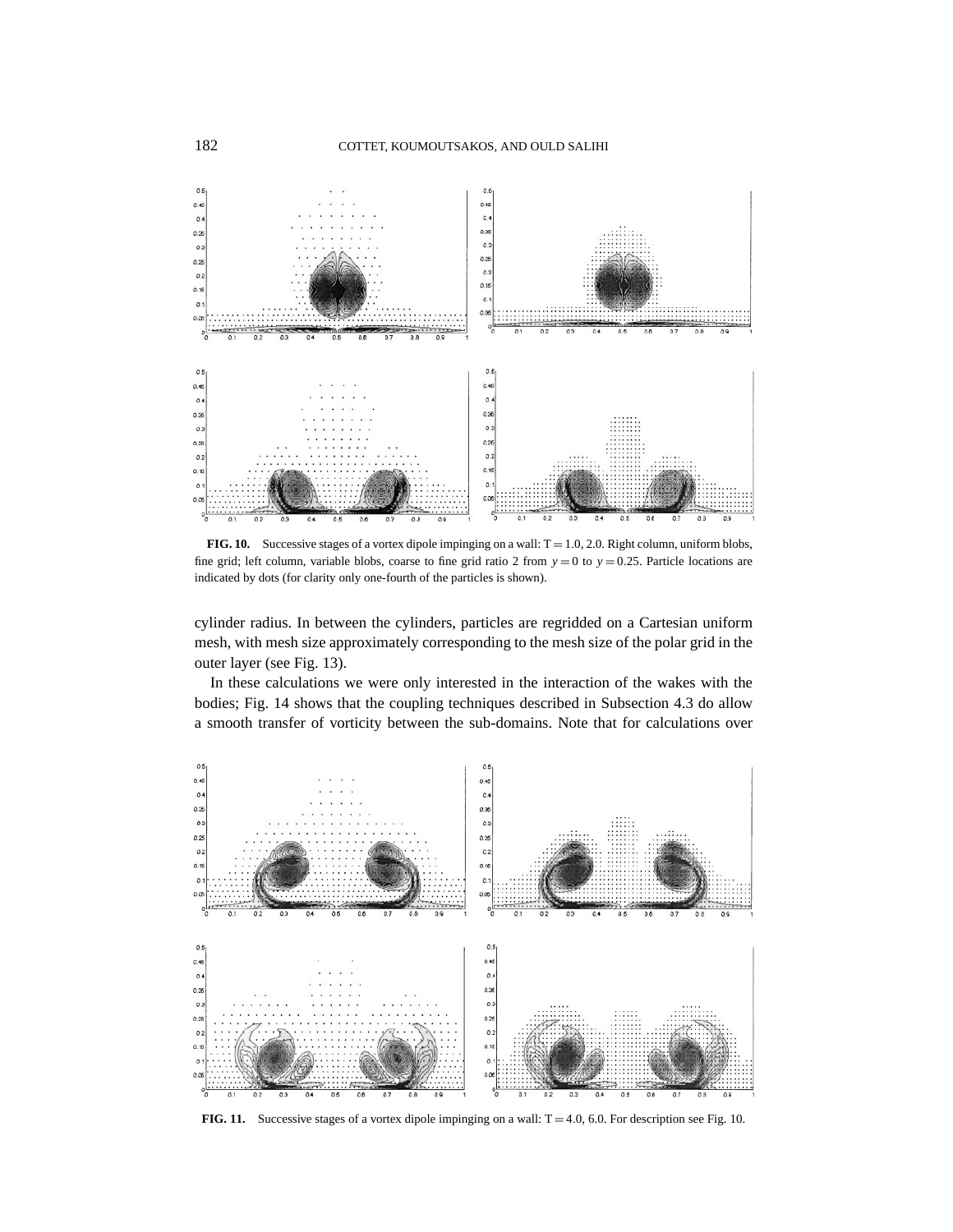

**FIG. 10.** Successive stages of a vortex dipole impinging on a wall:  $T = 1.0, 2.0$ . Right column, uniform blobs, fine grid; left column, variable blobs, coarse to fine grid ratio 2 from  $y = 0$  to  $y = 0.25$ . Particle locations are indicated by dots (for clarity only one-fourth of the particles is shown).

cylinder radius. In between the cylinders, particles are regridded on a Cartesian uniform mesh, with mesh size approximately corresponding to the mesh size of the polar grid in the outer layer (see Fig. 13).

In these calculations we were only interested in the interaction of the wakes with the bodies; Fig. 14 shows that the coupling techniques described in Subsection 4.3 do allow a smooth transfer of vorticity between the sub-domains. Note that for calculations over



**FIG. 11.** Successive stages of a vortex dipole impinging on a wall: T = 4.0, 6.0. For description see Fig. 10.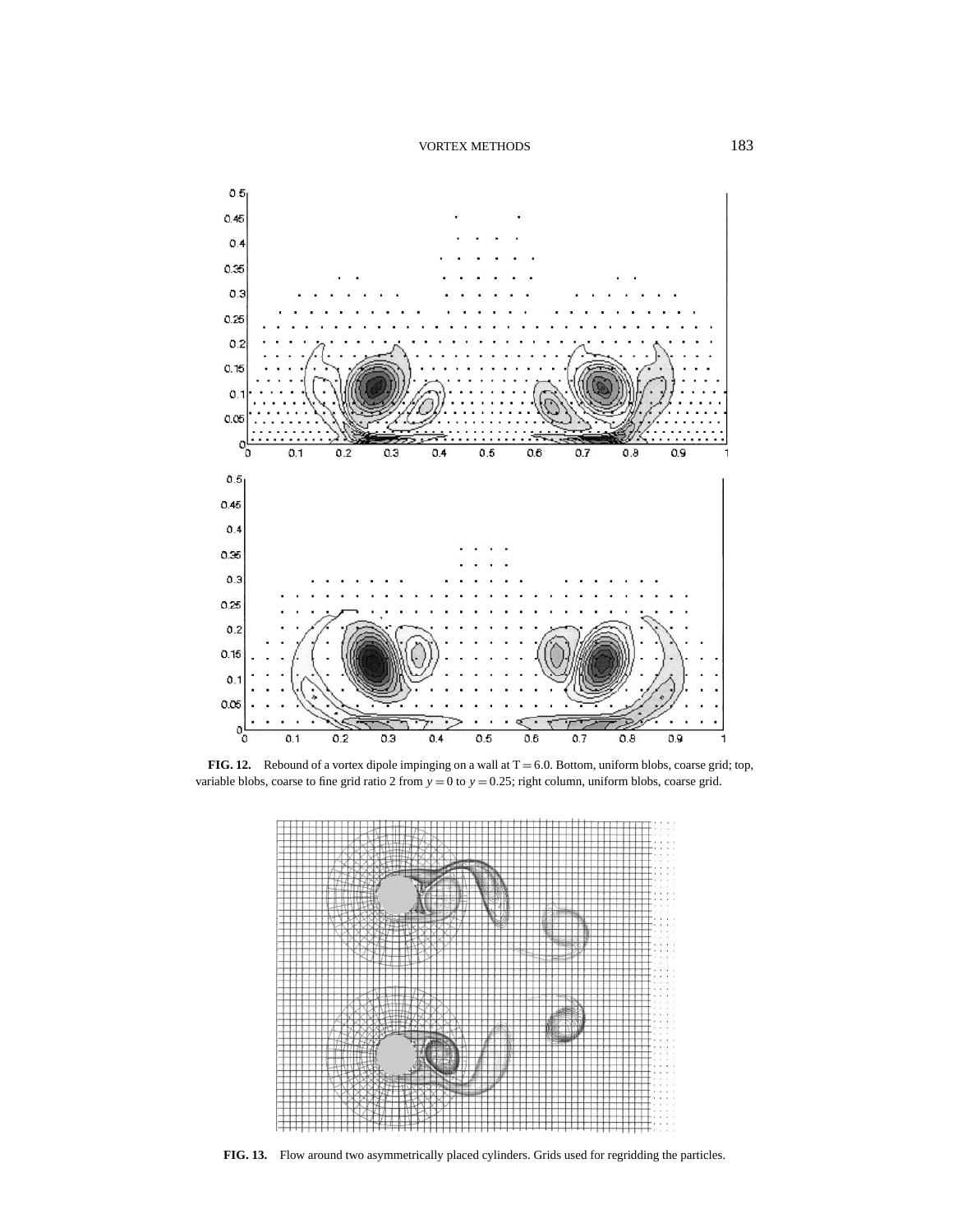

**FIG. 12.** Rebound of a vortex dipole impinging on a wall at  $T = 6.0$ . Bottom, uniform blobs, coarse grid; top, variable blobs, coarse to fine grid ratio 2 from  $y = 0$  to  $y = 0.25$ ; right column, uniform blobs, coarse grid.



**FIG. 13.** Flow around two asymmetrically placed cylinders. Grids used for regridding the particles.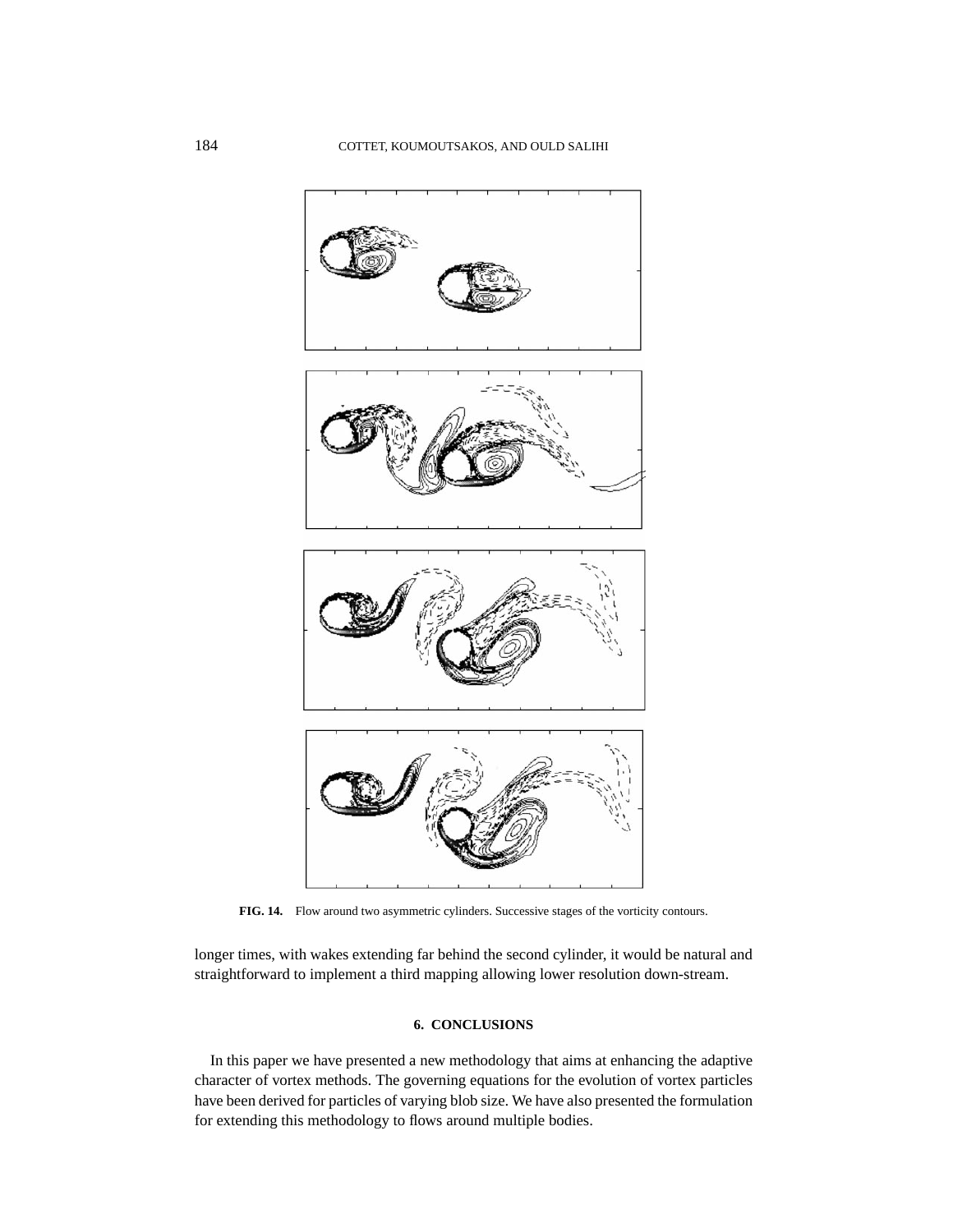





FIG. 14. Flow around two asymmetric cylinders. Successive stages of the vorticity contours.

longer times, with wakes extending far behind the second cylinder, it would be natural and straightforward to implement a third mapping allowing lower resolution down-stream.

## **6. CONCLUSIONS**

In this paper we have presented a new methodology that aims at enhancing the adaptive character of vortex methods. The governing equations for the evolution of vortex particles have been derived for particles of varying blob size. We have also presented the formulation for extending this methodology to flows around multiple bodies.